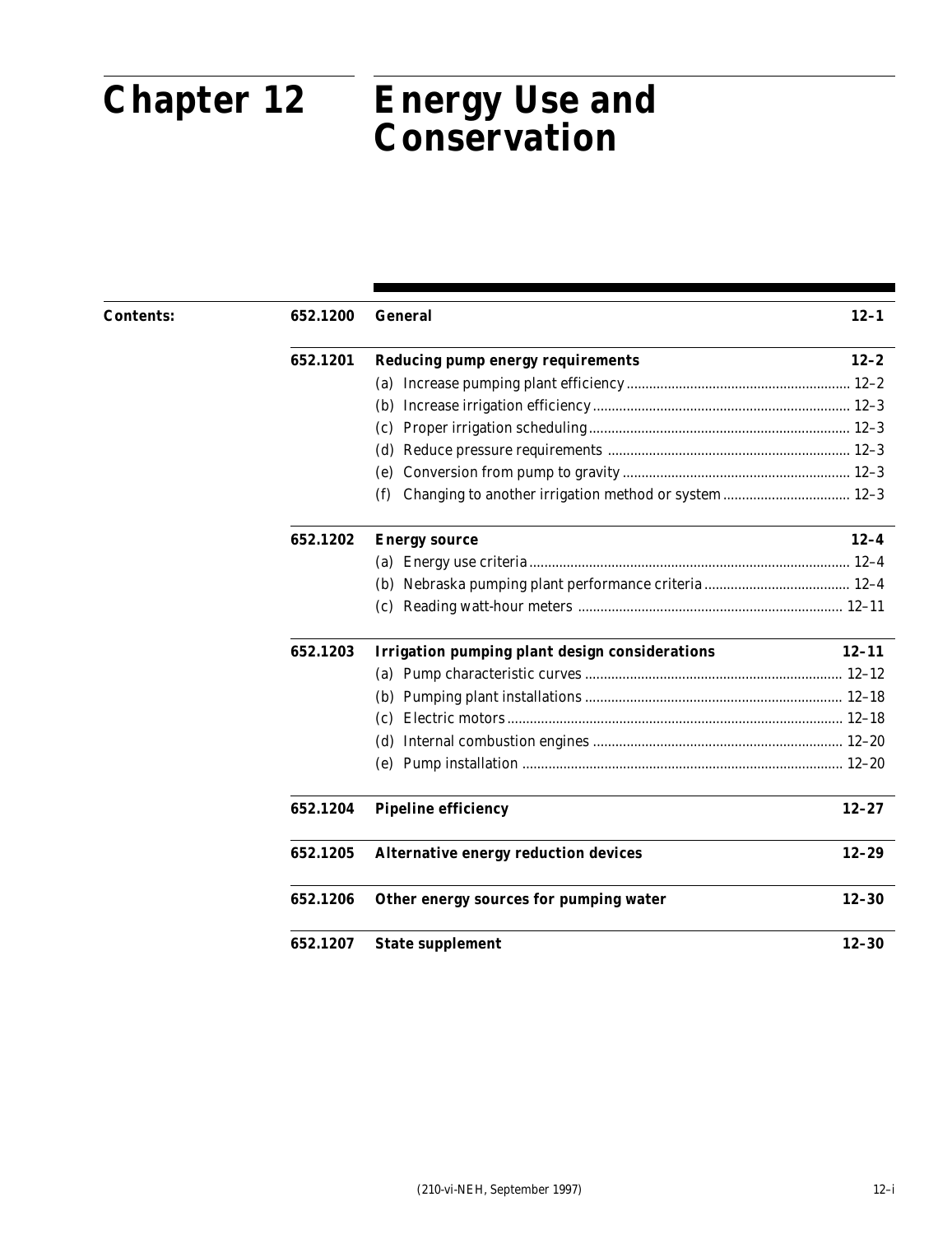# **Chapter 12**

# Part 652 **Chapter 12 Energy Use and Conservation**

| <b>Contents:</b> | 652.1200 | <b>General</b>                                              | $12 - 1$  |
|------------------|----------|-------------------------------------------------------------|-----------|
|                  | 652.1201 | <b>Reducing pump energy requirements</b>                    | $12 - 2$  |
|                  |          |                                                             |           |
|                  |          |                                                             |           |
|                  |          |                                                             |           |
|                  |          | (d)                                                         |           |
|                  |          | (e)                                                         |           |
|                  |          | Changing to another irrigation method or system 12-3<br>(f) |           |
|                  | 652.1202 | <b>Energy source</b>                                        | $12 - 4$  |
|                  |          |                                                             |           |
|                  |          |                                                             |           |
|                  |          |                                                             |           |
|                  | 652.1203 | <b>Irrigation pumping plant design considerations</b>       | $12 - 11$ |
|                  |          |                                                             |           |
|                  |          |                                                             |           |
|                  |          | (c)                                                         |           |
|                  |          |                                                             |           |
|                  |          |                                                             |           |
|                  | 652.1204 | <b>Pipeline efficiency</b>                                  | $12 - 27$ |
|                  | 652.1205 | <b>Alternative energy reduction devices</b>                 | $12 - 29$ |
|                  | 652.1206 | Other energy sources for pumping water                      | $12 - 30$ |
|                  | 652.1207 | <b>State supplement</b>                                     | $12 - 30$ |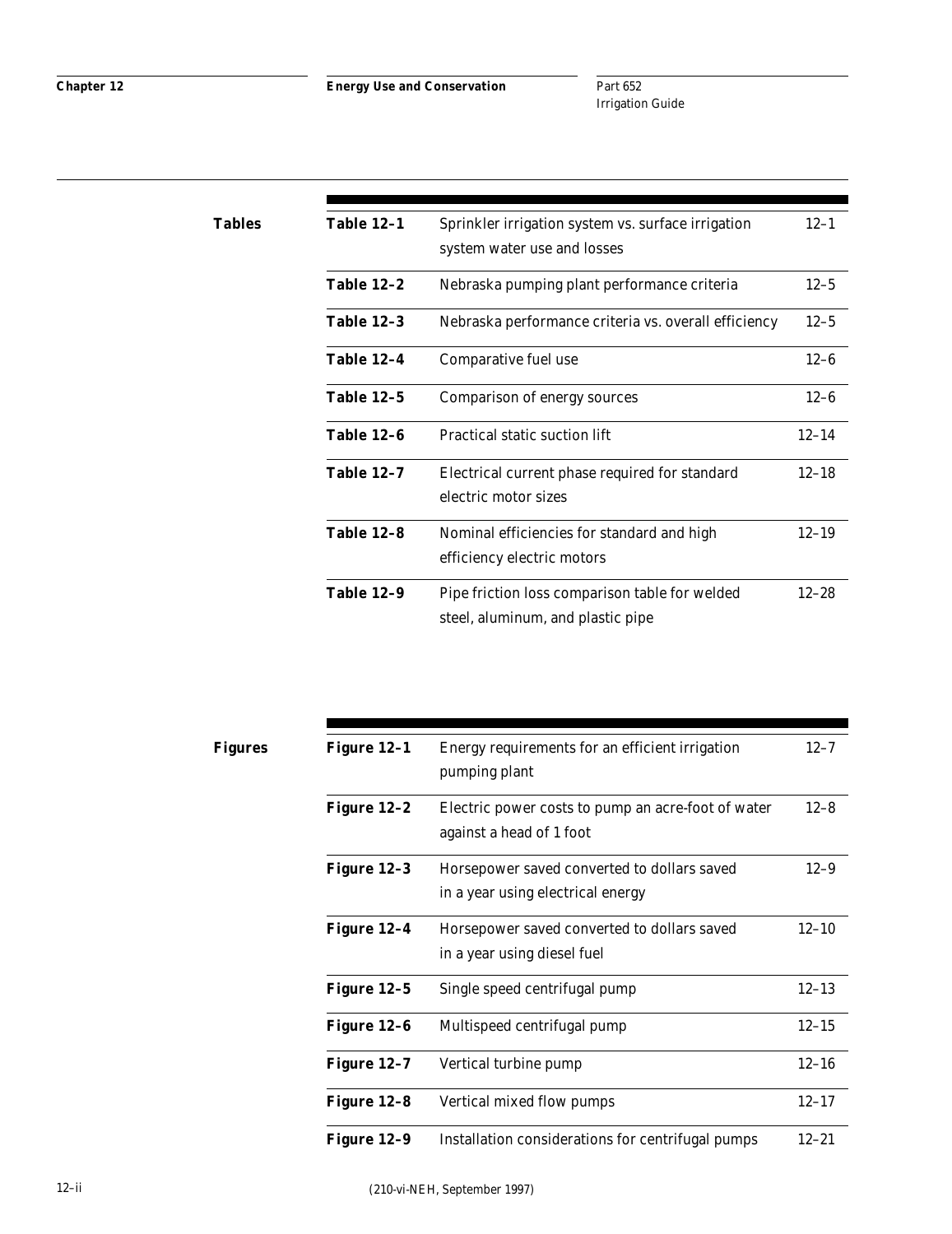Part 652 Irrigation Guide

| Tables | <b>Table 12-1</b> | Sprinkler irrigation system vs. surface irrigation   | $12 - 1$  |
|--------|-------------------|------------------------------------------------------|-----------|
|        |                   | system water use and losses                          |           |
|        | <b>Table 12-2</b> | Nebraska pumping plant performance criteria          | $12 - 5$  |
|        | <b>Table 12-3</b> | Nebraska performance criteria vs. overall efficiency | $12 - 5$  |
|        | Table 12-4        | Comparative fuel use                                 | $12 - 6$  |
|        | <b>Table 12-5</b> | Comparison of energy sources                         | $12 - 6$  |
|        | <b>Table 12-6</b> | Practical static suction lift                        | $12 - 14$ |
|        | <b>Table 12-7</b> | Electrical current phase required for standard       | $12 - 18$ |
|        |                   | electric motor sizes                                 |           |
|        | <b>Table 12-8</b> | Nominal efficiencies for standard and high           | $12 - 19$ |
|        |                   | efficiency electric motors                           |           |
|        | <b>Table 12-9</b> | Pipe friction loss comparison table for welded       | $12 - 28$ |
|        |                   | steel, aluminum, and plastic pipe                    |           |

| Figures | Figure 12-1 | Energy requirements for an efficient irrigation<br>pumping plant                 | $12 - 7$  |
|---------|-------------|----------------------------------------------------------------------------------|-----------|
|         | Figure 12-2 | Electric power costs to pump an acre-foot of water<br>against a head of 1 foot   | $12 - 8$  |
|         | Figure 12-3 | Horsepower saved converted to dollars saved<br>in a year using electrical energy | $12 - 9$  |
|         | Figure 12-4 | Horsepower saved converted to dollars saved<br>in a year using diesel fuel       | $12 - 10$ |
|         | Figure 12–5 | Single speed centrifugal pump                                                    | $12 - 13$ |
|         | Figure 12-6 | Multispeed centrifugal pump                                                      | $12 - 15$ |
|         | Figure 12-7 | Vertical turbine pump                                                            | $12 - 16$ |
|         | Figure 12-8 | Vertical mixed flow pumps                                                        | $12 - 17$ |
|         | Figure 12-9 | Installation considerations for centrifugal pumps                                | $12 - 21$ |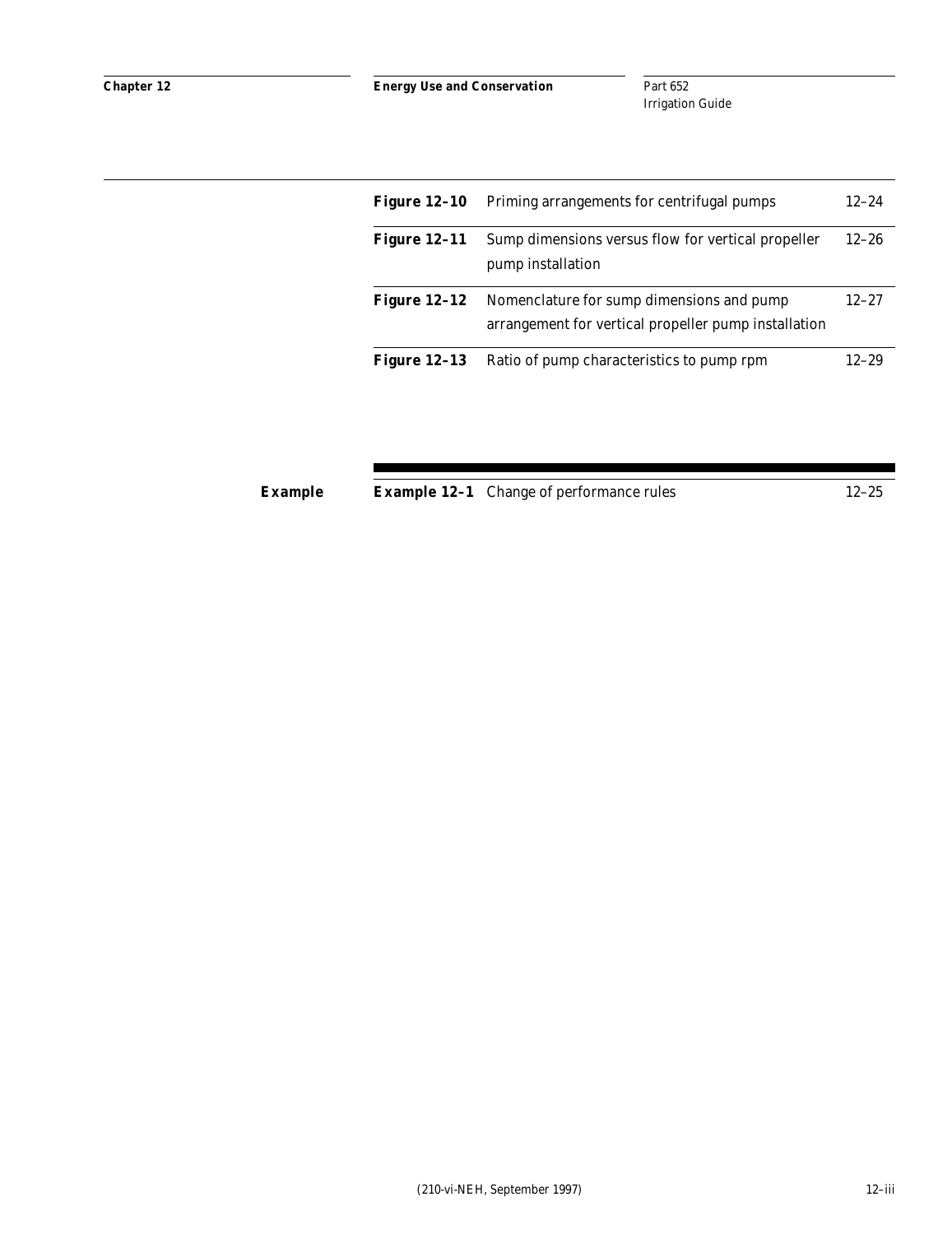Part 652 Irrigation Guide

| <b>Figure 12-10</b> | Priming arrangements for centrifugal pumps                                                        | $12 - 24$ |
|---------------------|---------------------------------------------------------------------------------------------------|-----------|
| <b>Figure 12-11</b> | Sump dimensions versus flow for vertical propeller<br>pump installation                           | $12 - 26$ |
| <b>Figure 12-12</b> | Nomenclature for sump dimensions and pump<br>arrangement for vertical propeller pump installation | $12 - 27$ |
| Figure $12-13$      | Ratio of pump characteristics to pump rpm                                                         | $12 - 29$ |

**Example 12-1** Change of performance rules 12-25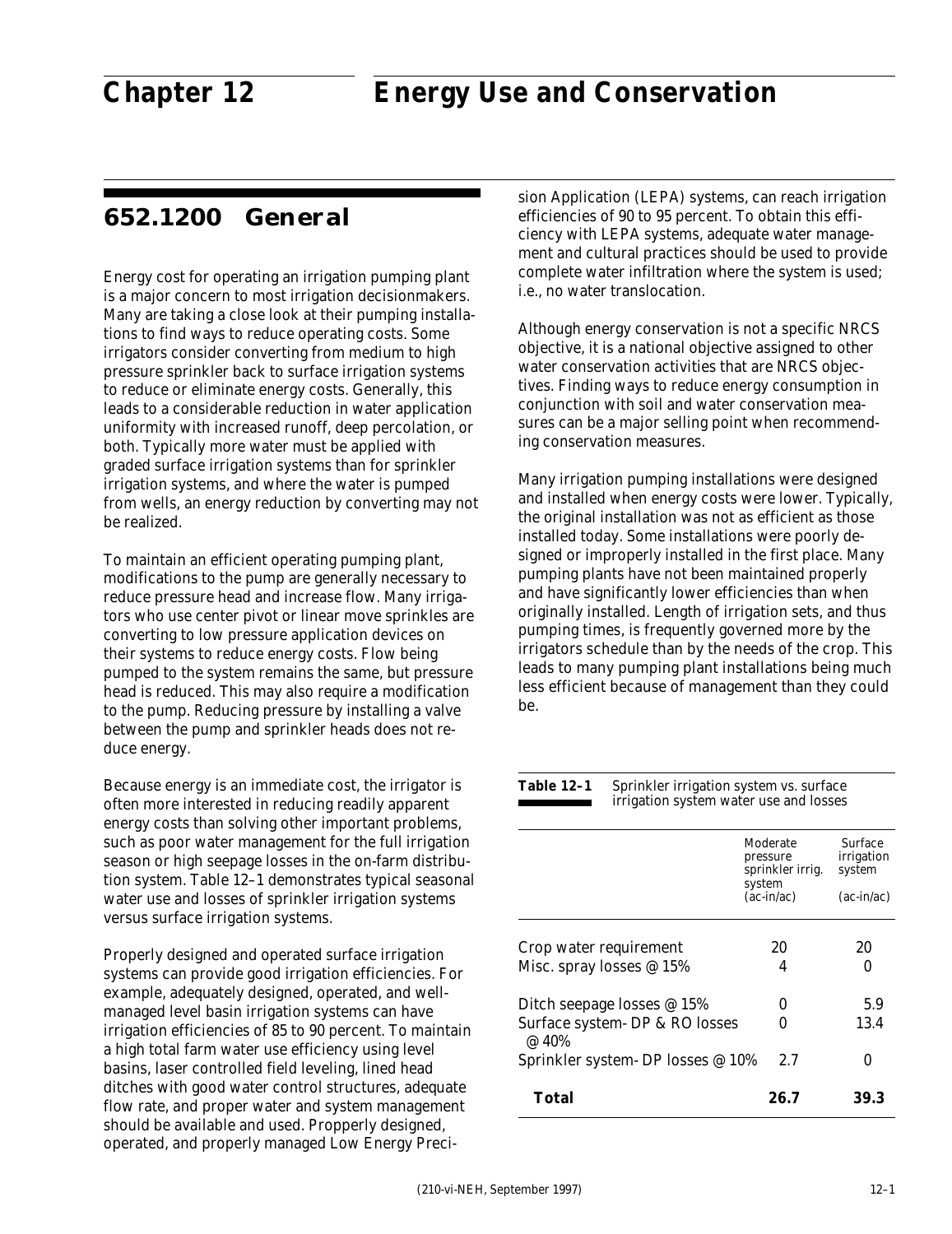# **652.1200 General**

Energy cost for operating an irrigation pumping plant is a major concern to most irrigation decisionmakers. Many are taking a close look at their pumping installations to find ways to reduce operating costs. Some irrigators consider converting from medium to high pressure sprinkler back to surface irrigation systems to reduce or eliminate energy costs. Generally, this leads to a considerable reduction in water application uniformity with increased runoff, deep percolation, or both. Typically more water must be applied with graded surface irrigation systems than for sprinkler irrigation systems, and where the water is pumped from wells, an energy reduction by converting may not be realized.

To maintain an efficient operating pumping plant, modifications to the pump are generally necessary to reduce pressure head and increase flow. Many irrigators who use center pivot or linear move sprinkles are converting to low pressure application devices on their systems to reduce energy costs. Flow being pumped to the system remains the same, but pressure head is reduced. This may also require a modification to the pump. Reducing pressure by installing a valve between the pump and sprinkler heads does not reduce energy.

Because energy is an immediate cost, the irrigator is often more interested in reducing readily apparent energy costs than solving other important problems, such as poor water management for the full irrigation season or high seepage losses in the on-farm distribution system. Table 12–1 demonstrates typical seasonal water use and losses of sprinkler irrigation systems versus surface irrigation systems.

Properly designed and operated surface irrigation systems can provide good irrigation efficiencies. For example, adequately designed, operated, and wellmanaged level basin irrigation systems can have irrigation efficiencies of 85 to 90 percent. To maintain a high total farm water use efficiency using level basins, laser controlled field leveling, lined head ditches with good water control structures, adequate flow rate, and proper water and system management should be available and used. Propperly designed, operated, and properly managed Low Energy Precision Application (LEPA) systems, can reach irrigation efficiencies of 90 to 95 percent. To obtain this efficiency with LEPA systems, adequate water management and cultural practices should be used to provide complete water infiltration where the system is used; i.e., no water translocation.

Although energy conservation is not a specific NRCS objective, it is a national objective assigned to other water conservation activities that are NRCS objectives. Finding ways to reduce energy consumption in conjunction with soil and water conservation measures can be a major selling point when recommending conservation measures.

Many irrigation pumping installations were designed and installed when energy costs were lower. Typically, the original installation was not as efficient as those installed today. Some installations were poorly designed or improperly installed in the first place. Many pumping plants have not been maintained properly and have significantly lower efficiencies than when originally installed. Length of irrigation sets, and thus pumping times, is frequently governed more by the irrigators schedule than by the needs of the crop. This leads to many pumping plant installations being much less efficient because of management than they could be.

#### Table 12-1 Sprinkler irrigation system vs. surface irrigation system water use and losses

|                                         | Moderate<br>pressure<br>sprinkler irrig. | <b>Surface</b><br>irrigation<br>system |
|-----------------------------------------|------------------------------------------|----------------------------------------|
|                                         | system<br>$(ac-in/ac)$                   | $(ac-in/ac)$                           |
| Crop water requirement                  | 20                                       | 20                                     |
| Misc. spray losses $@15%$               | 4                                        |                                        |
| Ditch seepage losses $@15\%$            | 0                                        | 5.9                                    |
| Surface system- DP & RO losses<br>@ 40% |                                          | 13.4                                   |
| Sprinkler system- DP losses @ 10%       | 2.7                                      | O                                      |
| Total                                   | 26.7                                     | 39.3                                   |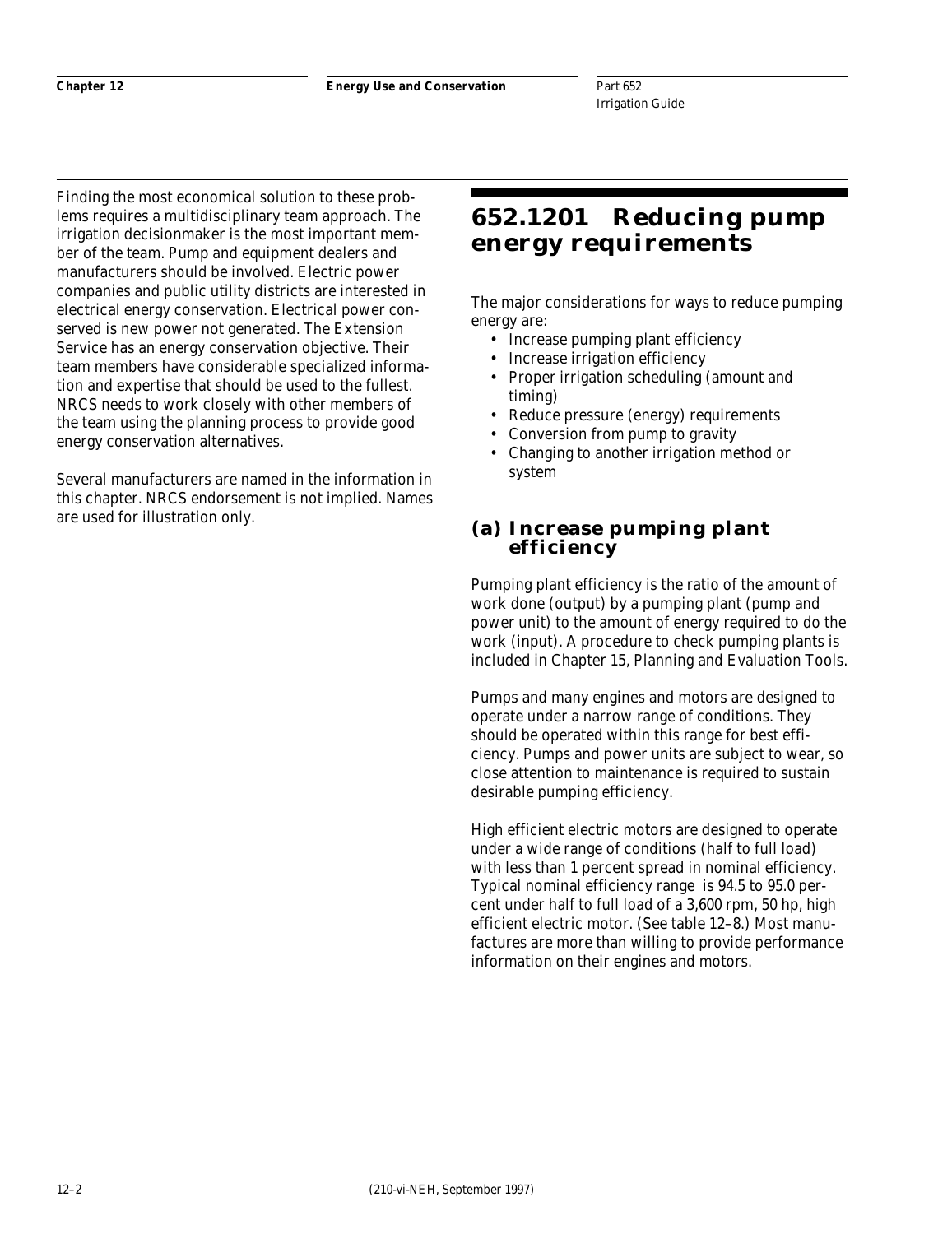Finding the most economical solution to these problems requires a multidisciplinary team approach. The irrigation decisionmaker is the most important member of the team. Pump and equipment dealers and manufacturers should be involved. Electric power companies and public utility districts are interested in electrical energy conservation. Electrical power conserved is new power not generated. The Extension Service has an energy conservation objective. Their team members have considerable specialized information and expertise that should be used to the fullest. NRCS needs to work closely with other members of the team using the planning process to provide good energy conservation alternatives.

Several manufacturers are named in the information in this chapter. NRCS endorsement is not implied. Names are used for illustration only.

# **652.1201 Reducing pump energy requirements**

The major considerations for ways to reduce pumping energy are:

- Increase pumping plant efficiency
- Increase irrigation efficiency
- Proper irrigation scheduling (amount and timing)
- Reduce pressure (energy) requirements
- Conversion from pump to gravity
- Changing to another irrigation method or system

## **(a) Increase pumping plant efficiency**

Pumping plant efficiency is the ratio of the amount of work done (output) by a pumping plant (pump and power unit) to the amount of energy required to do the work (input). A procedure to check pumping plants is included in Chapter 15, Planning and Evaluation Tools.

Pumps and many engines and motors are designed to operate under a narrow range of conditions. They should be operated within this range for best efficiency. Pumps and power units are subject to wear, so close attention to maintenance is required to sustain desirable pumping efficiency.

High efficient electric motors are designed to operate under a wide range of conditions (half to full load) with less than 1 percent spread in nominal efficiency. Typical nominal efficiency range is 94.5 to 95.0 percent under half to full load of a 3,600 rpm, 50 hp, high efficient electric motor. (See table 12–8.) Most manufactures are more than willing to provide performance information on their engines and motors.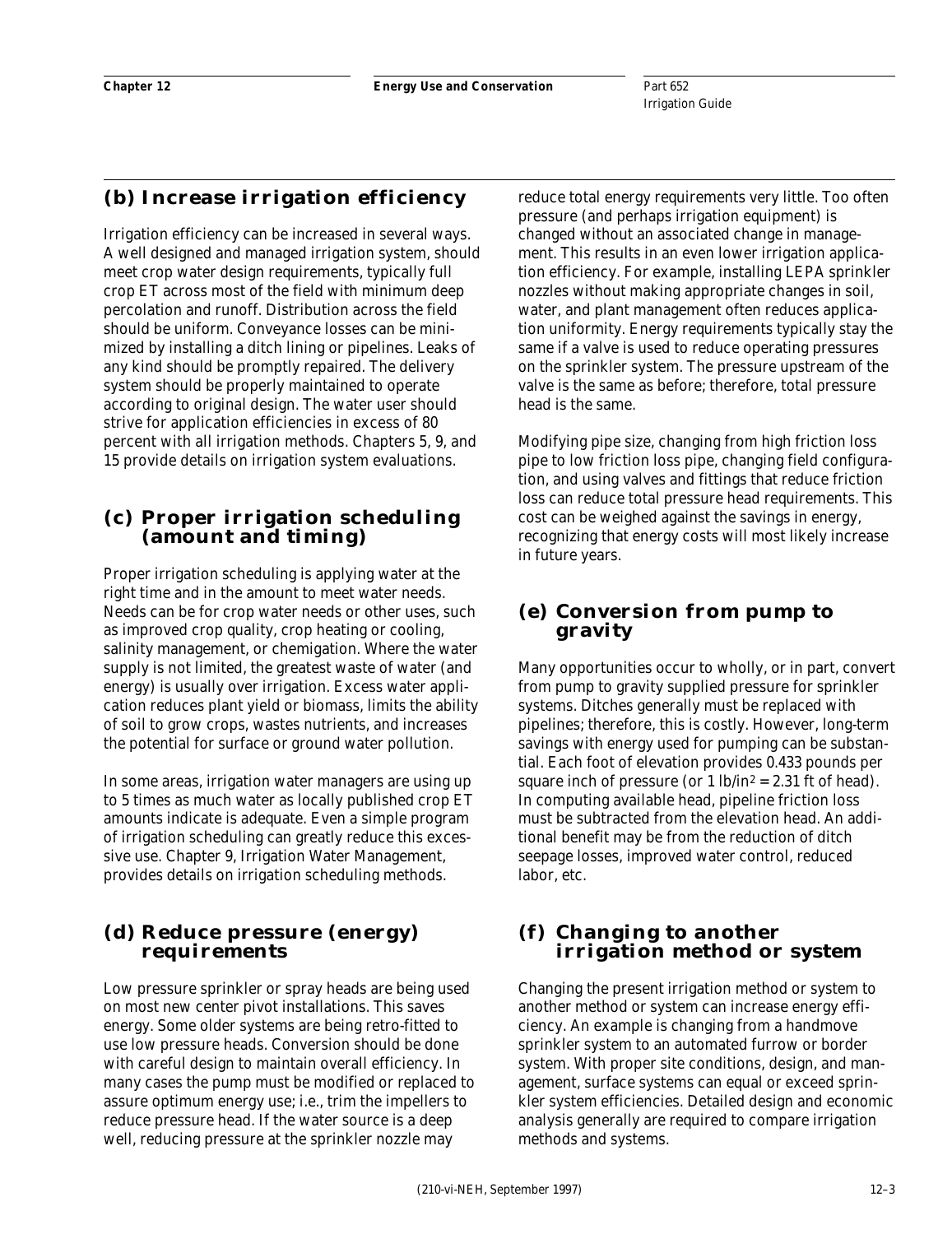# **(b) Increase irrigation efficiency**

Irrigation efficiency can be increased in several ways. A well designed and managed irrigation system, should meet crop water design requirements, typically full crop ET across most of the field with minimum deep percolation and runoff. Distribution across the field should be uniform. Conveyance losses can be minimized by installing a ditch lining or pipelines. Leaks of any kind should be promptly repaired. The delivery system should be properly maintained to operate according to original design. The water user should strive for application efficiencies in excess of 80 percent with all irrigation methods. Chapters 5, 9, and 15 provide details on irrigation system evaluations.

# **(c) Proper irrigation scheduling (amount and timing)**

Proper irrigation scheduling is applying water at the right time and in the amount to meet water needs. Needs can be for crop water needs or other uses, such as improved crop quality, crop heating or cooling, salinity management, or chemigation. Where the water supply is not limited, the greatest waste of water (and energy) is usually over irrigation. Excess water application reduces plant yield or biomass, limits the ability of soil to grow crops, wastes nutrients, and increases the potential for surface or ground water pollution.

In some areas, irrigation water managers are using up to 5 times as much water as locally published crop ET amounts indicate is adequate. Even a simple program of irrigation scheduling can greatly reduce this excessive use. Chapter 9, Irrigation Water Management, provides details on irrigation scheduling methods.

# **(d) Reduce pressure (energy) requirements**

Low pressure sprinkler or spray heads are being used on most new center pivot installations. This saves energy. Some older systems are being retro-fitted to use low pressure heads. Conversion should be done with careful design to maintain overall efficiency. In many cases the pump must be modified or replaced to assure optimum energy use; i.e., trim the impellers to reduce pressure head. If the water source is a deep well, reducing pressure at the sprinkler nozzle may

reduce total energy requirements very little. Too often pressure (and perhaps irrigation equipment) is changed without an associated change in management. This results in an even lower irrigation application efficiency. For example, installing LEPA sprinkler nozzles without making appropriate changes in soil, water, and plant management often reduces application uniformity. Energy requirements typically stay the same if a valve is used to reduce operating pressures on the sprinkler system. The pressure upstream of the valve is the same as before; therefore, total pressure head is the same.

Modifying pipe size, changing from high friction loss pipe to low friction loss pipe, changing field configuration, and using valves and fittings that reduce friction loss can reduce total pressure head requirements. This cost can be weighed against the savings in energy, recognizing that energy costs will most likely increase in future years.

# **(e) Conversion from pump to gravity**

Many opportunities occur to wholly, or in part, convert from pump to gravity supplied pressure for sprinkler systems. Ditches generally must be replaced with pipelines; therefore, this is costly. However, long-term savings with energy used for pumping can be substantial. Each foot of elevation provides 0.433 pounds per square inch of pressure (or  $1 \text{ lb/in}^2 = 2.31 \text{ ft of head}$ ). In computing available head, pipeline friction loss must be subtracted from the elevation head. An additional benefit may be from the reduction of ditch seepage losses, improved water control, reduced labor, etc.

# **(f) Changing to another irrigation method or system**

Changing the present irrigation method or system to another method or system can increase energy efficiency. An example is changing from a handmove sprinkler system to an automated furrow or border system. With proper site conditions, design, and management, surface systems can equal or exceed sprinkler system efficiencies. Detailed design and economic analysis generally are required to compare irrigation methods and systems.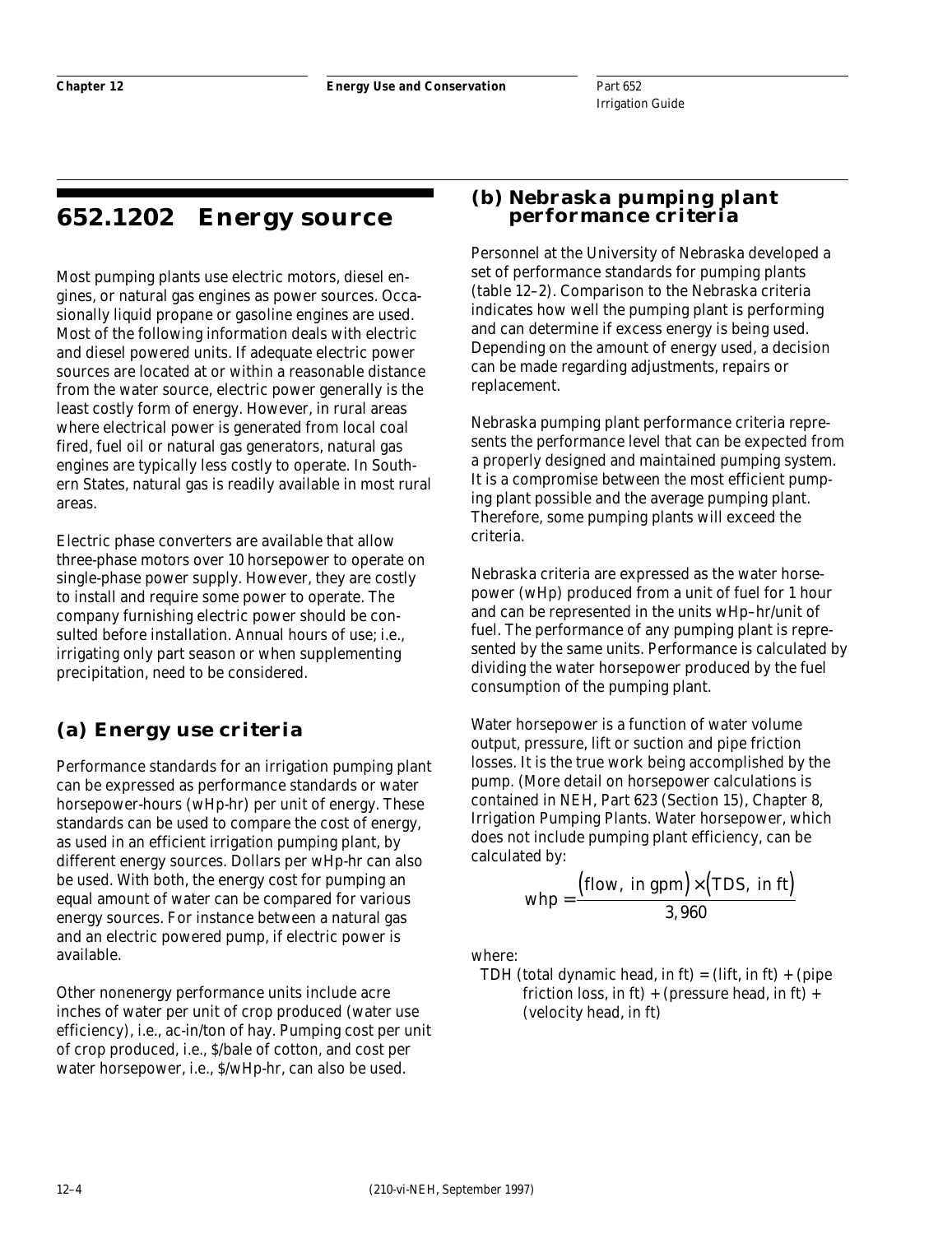# **652.1202 Energy source**

Most pumping plants use electric motors, diesel engines, or natural gas engines as power sources. Occasionally liquid propane or gasoline engines are used. Most of the following information deals with electric and diesel powered units. If adequate electric power sources are located at or within a reasonable distance from the water source, electric power generally is the least costly form of energy. However, in rural areas where electrical power is generated from local coal fired, fuel oil or natural gas generators, natural gas engines are typically less costly to operate. In Southern States, natural gas is readily available in most rural areas.

Electric phase converters are available that allow three-phase motors over 10 horsepower to operate on single-phase power supply. However, they are costly to install and require some power to operate. The company furnishing electric power should be consulted before installation. Annual hours of use; i.e., irrigating only part season or when supplementing precipitation, need to be considered.

# **(a) Energy use criteria**

Performance standards for an irrigation pumping plant can be expressed as performance standards or water horsepower-hours (wHp-hr) per unit of energy. These standards can be used to compare the cost of energy, as used in an efficient irrigation pumping plant, by different energy sources. Dollars per wHp-hr can also be used. With both, the energy cost for pumping an equal amount of water can be compared for various energy sources. For instance between a natural gas and an electric powered pump, if electric power is available.

Other nonenergy performance units include acre inches of water per unit of crop produced (water use efficiency), i.e., ac-in/ton of hay. Pumping cost per unit of crop produced, i.e., \$/bale of cotton, and cost per water horsepower, i.e., \$/wHp-hr, can also be used.

# **(b) Nebraska pumping plant performance criteria**

Personnel at the University of Nebraska developed a set of performance standards for pumping plants (table 12–2). Comparison to the Nebraska criteria indicates how well the pumping plant is performing and can determine if excess energy is being used. Depending on the amount of energy used, a decision can be made regarding adjustments, repairs or replacement.

Nebraska pumping plant performance criteria represents the performance level that can be expected from a properly designed and maintained pumping system. It is a compromise between the most efficient pumping plant possible and the average pumping plant. Therefore, some pumping plants will exceed the criteria.

Nebraska criteria are expressed as the water horsepower (wHp) produced from a unit of fuel for 1 hour and can be represented in the units wHp–hr/unit of fuel. The performance of any pumping plant is represented by the same units. Performance is calculated by dividing the water horsepower produced by the fuel consumption of the pumping plant.

Water horsepower is a function of water volume output, pressure, lift or suction and pipe friction losses. It is the true work being accomplished by the pump. (More detail on horsepower calculations is contained in NEH, Part 623 (Section 15), Chapter 8, Irrigation Pumping Plants. Water horsepower, which does not include pumping plant efficiency, can be calculated by:

$$
whp = \frac{(\text{flow, in gpm}) \times (\text{TDS, in ft})}{3,960}
$$

where:

TDH (total dynamic head, in  $ft$ ) = (lift, in  $ft$ ) + (pipe friction loss, in ft) + (pressure head, in ft) + (velocity head, in ft)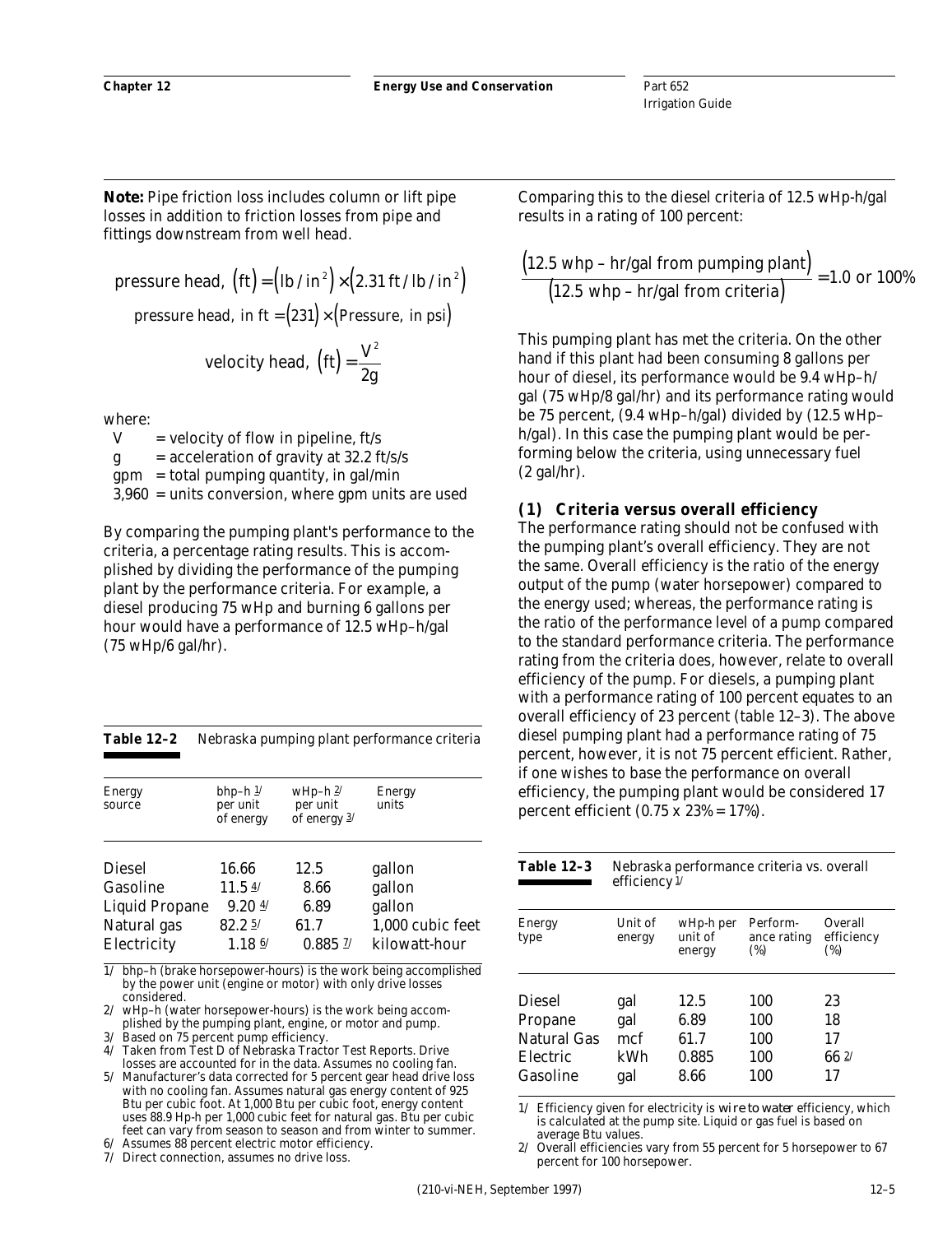*Note:* Pipe friction loss includes column or lift pipe losses in addition to friction losses from pipe and fittings downstream from well head.

pressure head,  $({\rm ft}) = ({\rm lb}/ {\rm in}^2) \times (2.31 {\rm ft} / {\rm lb}/ {\rm in}^2)$ pressure head, in  $ft = (231) \times (Pressure, in psi)$ velocity head,  $\left(\text{ft}\right) = \frac{\text{V}^2}{2 \text{g}}$ 2

2

where:

 $V =$  velocity of flow in pipeline, ft/s  $g = acceleration of gravity at 32.2 ft/s/s$  $gpm = total$  pumping quantity, in gal/min 3,960 = units conversion, where gpm units are used

By comparing the pumping plant's performance to the criteria, a percentage rating results. This is accomplished by dividing the performance of the pumping plant by the performance criteria. For example, a diesel producing 75 wHp and burning 6 gallons per hour would have a performance of 12.5 wHp–h/gal (75 wHp/6 gal/hr).

| Table 12–2 |  | Nebraska pumping plant performance criteria |  |  |
|------------|--|---------------------------------------------|--|--|
|------------|--|---------------------------------------------|--|--|

| <b>Energy</b><br>source                                                          | bhp-h $1/$<br>per unit<br>of energy                                 | wHp-h $2/$<br>per unit<br>of energy $3/$ | Energy<br>units                                                 |
|----------------------------------------------------------------------------------|---------------------------------------------------------------------|------------------------------------------|-----------------------------------------------------------------|
| <b>Diesel</b><br>Gasoline<br><b>Liquid Propane</b><br>Natural gas<br>Electricity | 16.66<br>11.54<br>$9.20 \frac{4}{1}$<br>82.25<br>$1.18 \frac{6}{1}$ | 12.5<br>8.66<br>6.89<br>61.7<br>0.885 27 | gallon<br>gallon<br>gallon<br>1,000 cubic feet<br>kilowatt-hour |

1/ bhp–h (brake horsepower-hours) is the work being accomplished by the power unit (engine or motor) with only drive losses considered.

2/ wHp–h (water horsepower-hours) is the work being accomplished by the pumping plant, engine, or motor and pump.

3/ Based on 75 percent pump efficiency.

- 4/ Taken from Test D of Nebraska Tractor Test Reports. Drive losses are accounted for in the data. Assumes no cooling fan.
- 5/ Manufacturer's data corrected for 5 percent gear head drive loss with no cooling fan. Assumes natural gas energy content of 925 Btu per cubic foot. At 1,000 Btu per cubic foot, energy content uses 88.9 Hp-h per 1,000 cubic feet for natural gas. Btu per cubic feet can vary from season to season and from winter to summer.

Assumes 88 percent electric motor efficiency. 7/ Direct connection, assumes no drive loss.

Comparing this to the diesel criteria of 12.5 wHp-h/gal results in a rating of 100 percent:

$$
\frac{(12.5 \text{ whp} - \text{hr/gal from pumping plant})}{(12.5 \text{ whp} - \text{hr/gal from criteria})} = 1.0 \text{ or } 100\%
$$

This pumping plant has met the criteria. On the other hand if this plant had been consuming 8 gallons per hour of diesel, its performance would be 9.4 wHp–h/ gal (75 wHp/8 gal/hr) and its performance rating would be 75 percent, (9.4 wHp–h/gal) divided by (12.5 wHp– h/gal). In this case the pumping plant would be performing below the criteria, using unnecessary fuel (2 gal/hr).

#### **(1) Criteria versus overall efficiency**

The performance rating should not be confused with the pumping plant's overall efficiency. They are not the same. Overall efficiency is the ratio of the energy output of the pump (water horsepower) compared to the energy used; whereas, the performance rating is the ratio of the performance level of a pump compared to the standard performance criteria. The performance rating from the criteria does, however, relate to overall efficiency of the pump. For diesels, a pumping plant with a performance rating of 100 percent equates to an overall efficiency of 23 percent (table 12–3). The above diesel pumping plant had a performance rating of 75 percent, however, it is not 75 percent efficient. Rather, if one wishes to base the performance on overall efficiency, the pumping plant would be considered 17 percent efficient  $(0.75 \times 23\% = 17\%).$ 

| <b>Table 12-3</b><br>Nebraska performance criteria vs. overall<br>efficiency <sup>1/</sup> |                   |                                |                                |                              |
|--------------------------------------------------------------------------------------------|-------------------|--------------------------------|--------------------------------|------------------------------|
| <b>Energy</b><br>type                                                                      | Unit of<br>energy | wHp-h per<br>unit of<br>energy | Perform-<br>ance rating<br>(%) | Overall<br>efficiency<br>(%) |
| <b>Diesel</b>                                                                              | gal               | 12.5                           | 100                            | 23                           |
| Propane                                                                                    | gal               | 6.89                           | 100                            | 18                           |
| Natural Gas                                                                                | mcf               | 61.7                           | 100                            | 17                           |
| Electric                                                                                   | kWh               | 0.885                          | 100                            | 662/                         |
| Gasoline                                                                                   | gal               | 8.66                           | 100                            | 17                           |

1/ Efficiency given for electricity is *wire to water* efficiency, which is calculated at the pump site. Liquid or gas fuel is based on average Btu values.

2/ Overall efficiencies vary from 55 percent for 5 horsepower to 67 percent for 100 horsepower.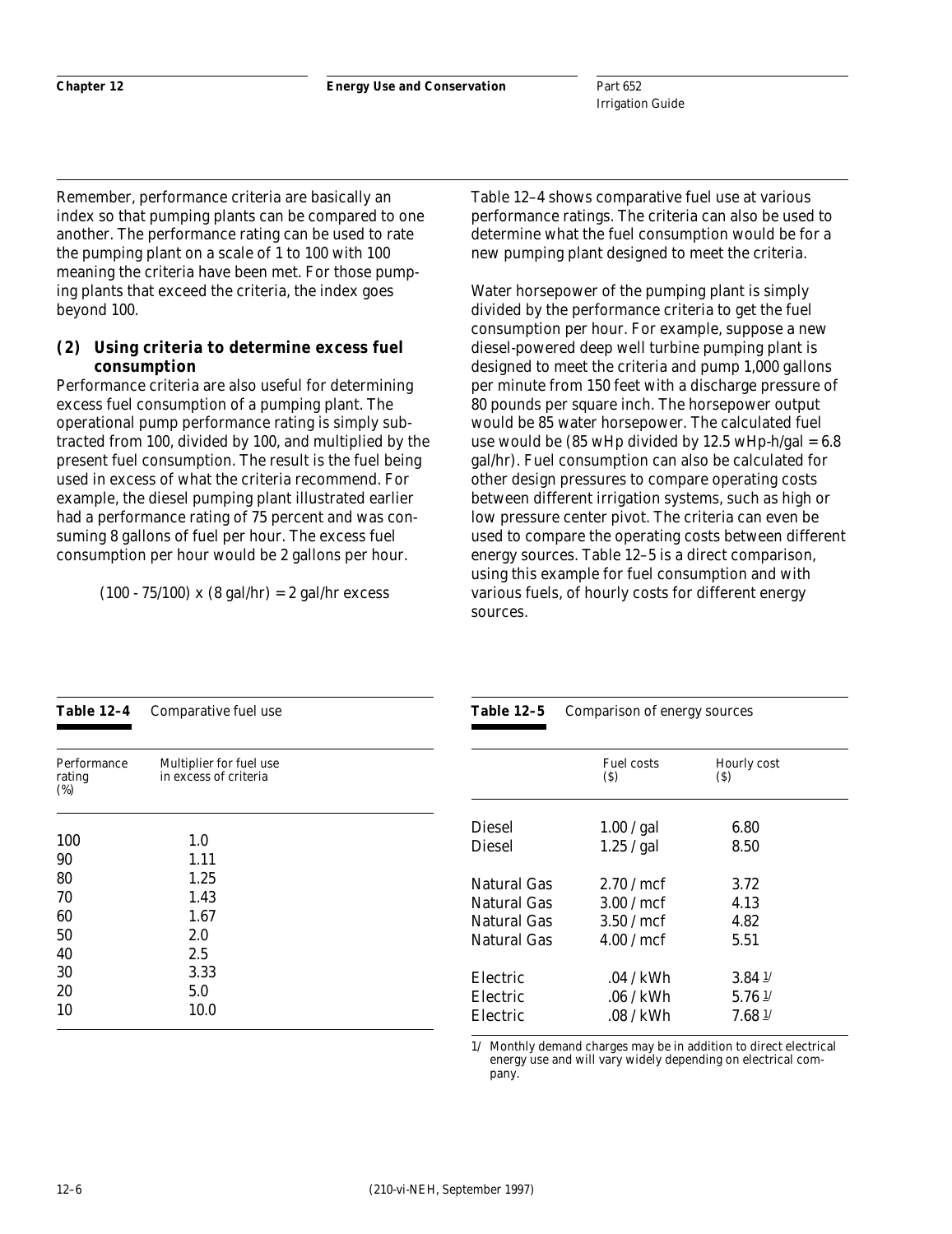Remember, performance criteria are basically an index so that pumping plants can be compared to one another. The performance rating can be used to rate the pumping plant on a scale of 1 to 100 with 100 meaning the criteria have been met. For those pumping plants that exceed the criteria, the index goes beyond 100.

#### **(2) Using criteria to determine excess fuel consumption**

Performance criteria are also useful for determining excess fuel consumption of a pumping plant. The operational pump performance rating is simply subtracted from 100, divided by 100, and multiplied by the present fuel consumption. The result is the fuel being used in excess of what the criteria recommend. For example, the diesel pumping plant illustrated earlier had a performance rating of 75 percent and was consuming 8 gallons of fuel per hour. The excess fuel consumption per hour would be 2 gallons per hour.

 $(100 - 75/100)$  x  $(8$  gal/hr) = 2 gal/hr excess

Table 12–4 shows comparative fuel use at various performance ratings. The criteria can also be used to determine what the fuel consumption would be for a new pumping plant designed to meet the criteria.

Water horsepower of the pumping plant is simply divided by the performance criteria to get the fuel consumption per hour. For example, suppose a new diesel-powered deep well turbine pumping plant is designed to meet the criteria and pump 1,000 gallons per minute from 150 feet with a discharge pressure of 80 pounds per square inch. The horsepower output would be 85 water horsepower. The calculated fuel use would be  $(85 \text{ wHp} \text{ divided by } 12.5 \text{ wHp-h/gal} = 6.8$ gal/hr). Fuel consumption can also be calculated for other design pressures to compare operating costs between different irrigation systems, such as high or low pressure center pivot. The criteria can even be used to compare the operating costs between different energy sources. Table 12–5 is a direct comparison, using this example for fuel consumption and with various fuels, of hourly costs for different energy sources.

| <b>Table 12-4</b>               | Comparative fuel use                             | <b>Table 12-5</b>                                                      | Comparison of energy sources                 |                                                                |
|---------------------------------|--------------------------------------------------|------------------------------------------------------------------------|----------------------------------------------|----------------------------------------------------------------|
| Performance<br>rating<br>$(\%)$ | Multiplier for fuel use<br>in excess of criteria |                                                                        | <b>Fuel costs</b><br>(S)                     | Hourly cost<br>$\left( \mathbf{\S}\right)$                     |
| 100<br>90                       | 1.0<br>1.11                                      | <b>Diesel</b><br>Diesel                                                | 1.00 / gal<br>1.25 / gal                     | 6.80<br>8.50                                                   |
| 80<br>70<br>60<br>50<br>40      | 1.25<br>1.43<br>1.67<br>2.0<br>2.5               | <b>Natural Gas</b><br>Natural Gas<br>Natural Gas<br><b>Natural Gas</b> | 2.70/mcf<br>3.00/mcf<br>3.50/mcf<br>4.00/mcf | 3.72<br>4.13<br>4.82<br>5.51                                   |
| 30<br>20<br>10                  | 3.33<br>5.0<br>10.0                              | Electric<br>Electric<br>Electric                                       | .04 / kWh<br>$.06 /$ kWh<br>.08 / kWh        | $3.84 \frac{1}{2}$<br>$5.76 \frac{1}{2}$<br>$7.68 \frac{1}{2}$ |

1/ Monthly demand charges may be in addition to direct electrical energy use and will vary widely depending on electrical company.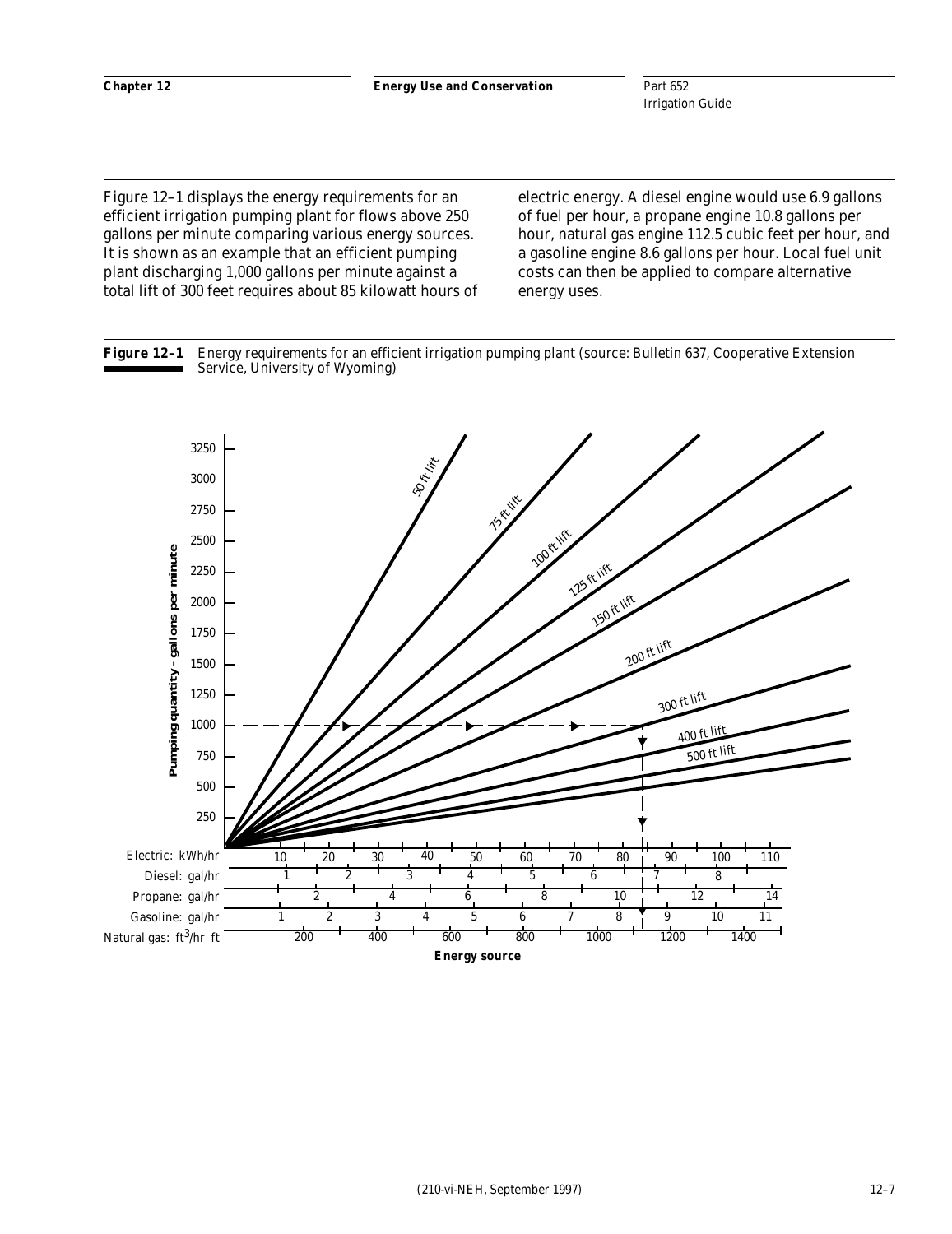Figure 12–1 displays the energy requirements for an efficient irrigation pumping plant for flows above 250 gallons per minute comparing various energy sources. It is shown as an example that an efficient pumping plant discharging 1,000 gallons per minute against a total lift of 300 feet requires about 85 kilowatt hours of electric energy. A diesel engine would use 6.9 gallons of fuel per hour, a propane engine 10.8 gallons per hour, natural gas engine 112.5 cubic feet per hour, and a gasoline engine 8.6 gallons per hour. Local fuel unit costs can then be applied to compare alternative energy uses.



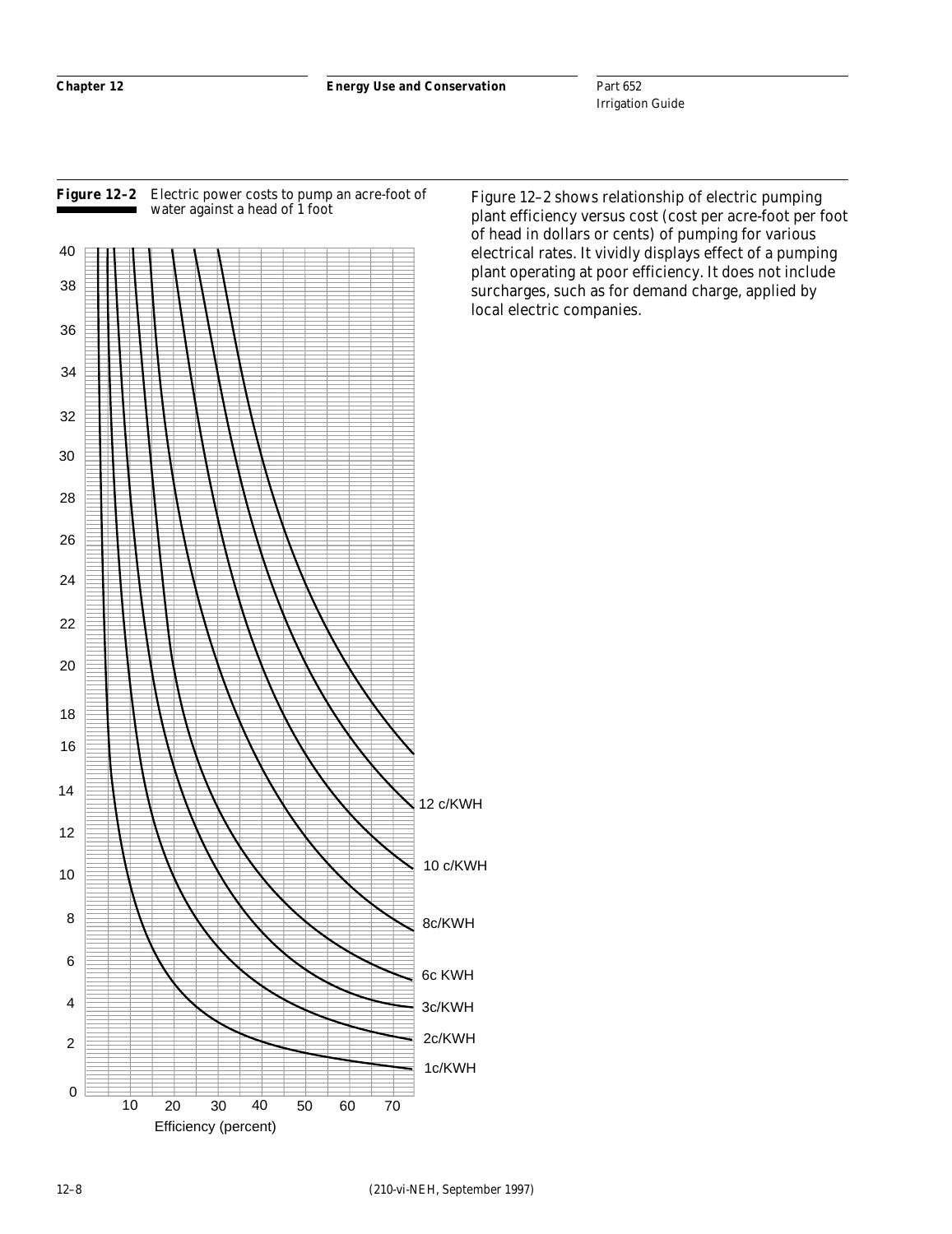

#### **Figure 12–2** Electric power costs to pump an acre-foot of water against a head of 1 foot

Figure 12–2 shows relationship of electric pumping plant efficiency versus cost (cost per acre-foot per foot of head in dollars or cents) of pumping for various electrical rates. It vividly displays effect of a pumping plant operating at poor efficiency. It does not include surcharges, such as for demand charge, applied by local electric companies.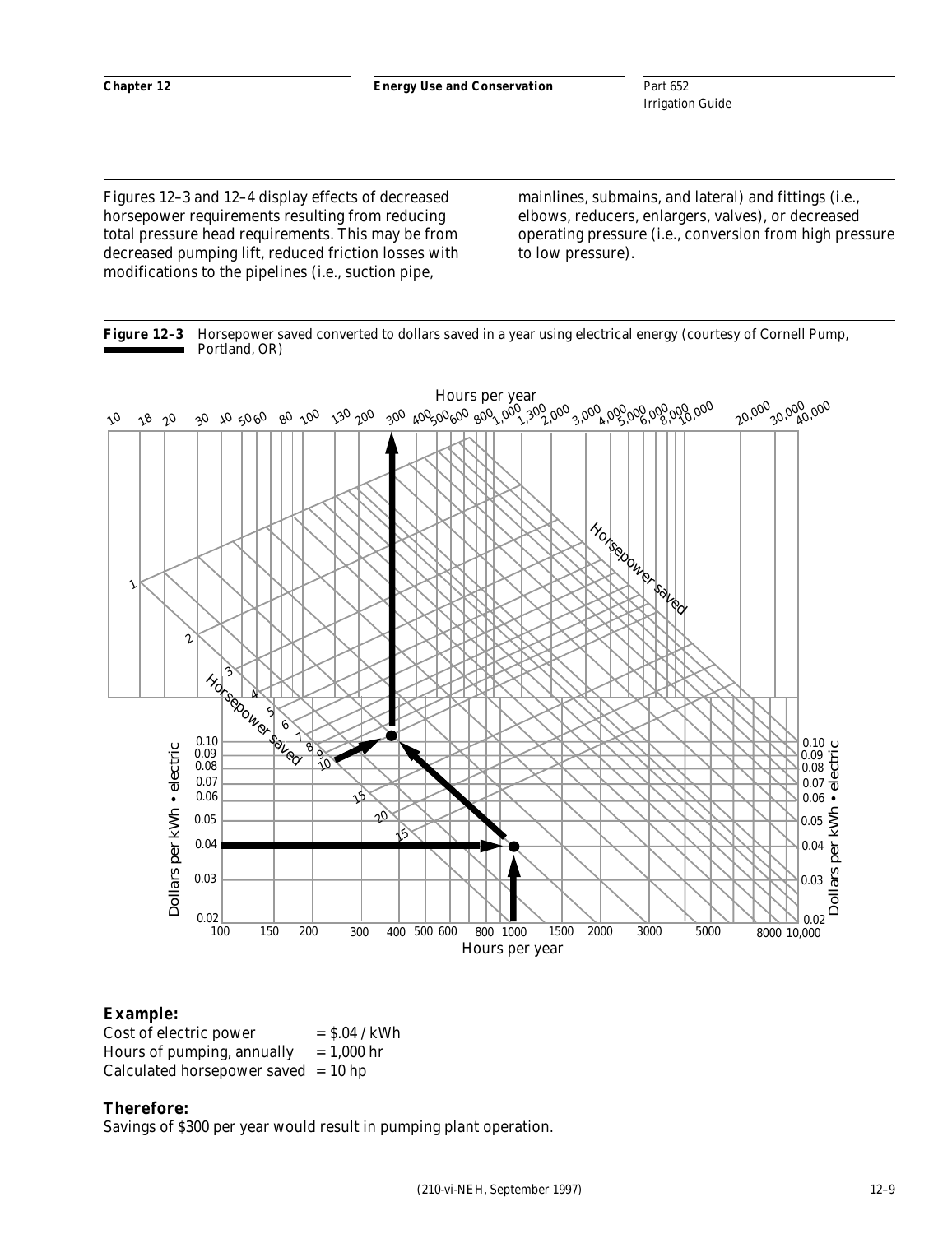Figures 12–3 and 12–4 display effects of decreased horsepower requirements resulting from reducing total pressure head requirements. This may be from decreased pumping lift, reduced friction losses with modifications to the pipelines (i.e., suction pipe,

mainlines, submains, and lateral) and fittings (i.e., elbows, reducers, enlargers, valves), or decreased operating pressure (i.e., conversion from high pressure to low pressure).





## **Example:**

| Cost of electric power                  | $=$ \$.04 / kWh |
|-----------------------------------------|-----------------|
| Hours of pumping, annually $= 1,000$ hr |                 |
| Calculated horsepower saved $= 10$ hp   |                 |

#### **Therefore:**

Savings of \$300 per year would result in pumping plant operation.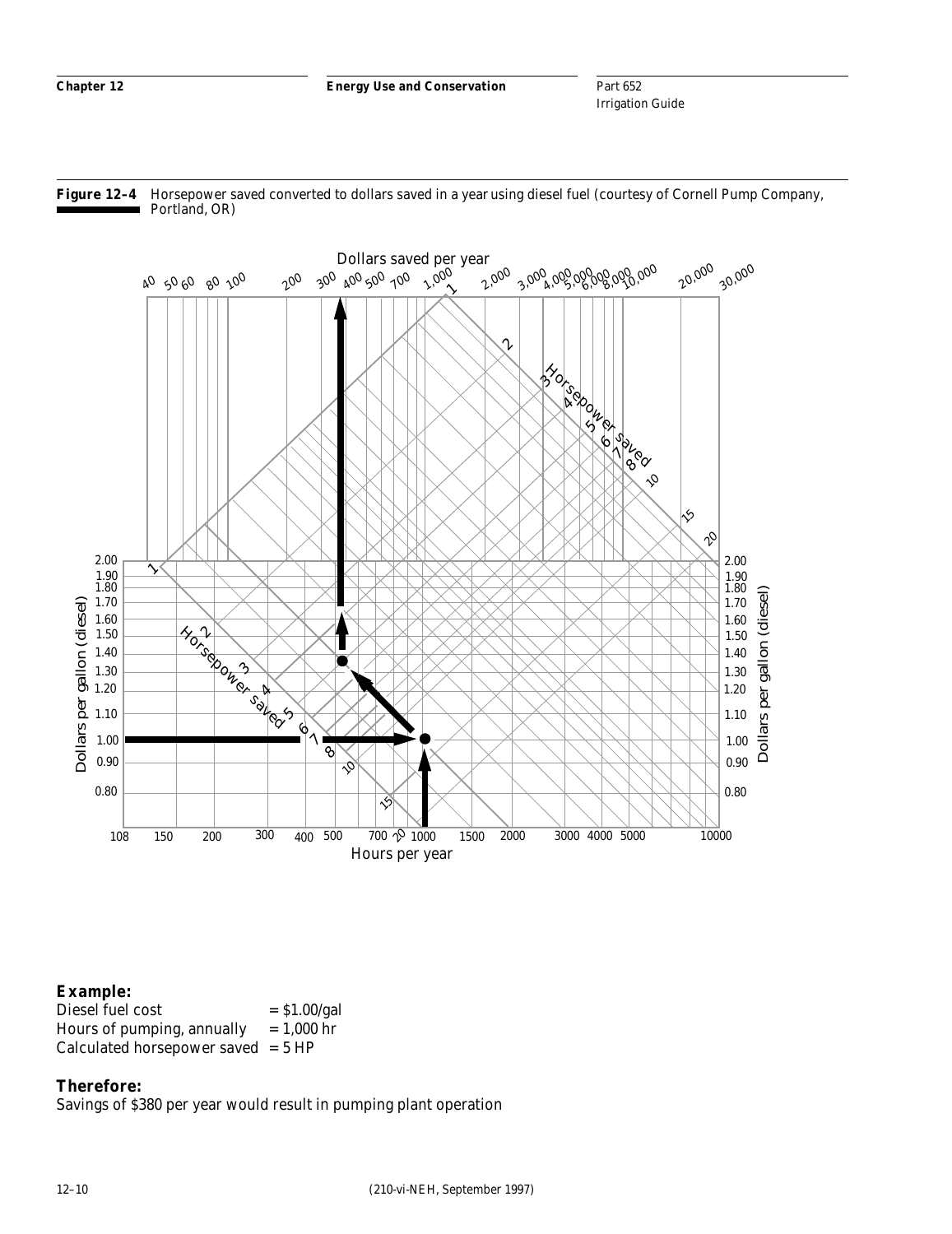Part 652 Irrigation Guide





## **Example:**

Diesel fuel cost  $= $1.00/gal$ Hours of pumping, annually  $= 1,000$  hr Calculated horsepower saved  $= 5$  HP

## **Therefore:**

Savings of \$380 per year would result in pumping plant operation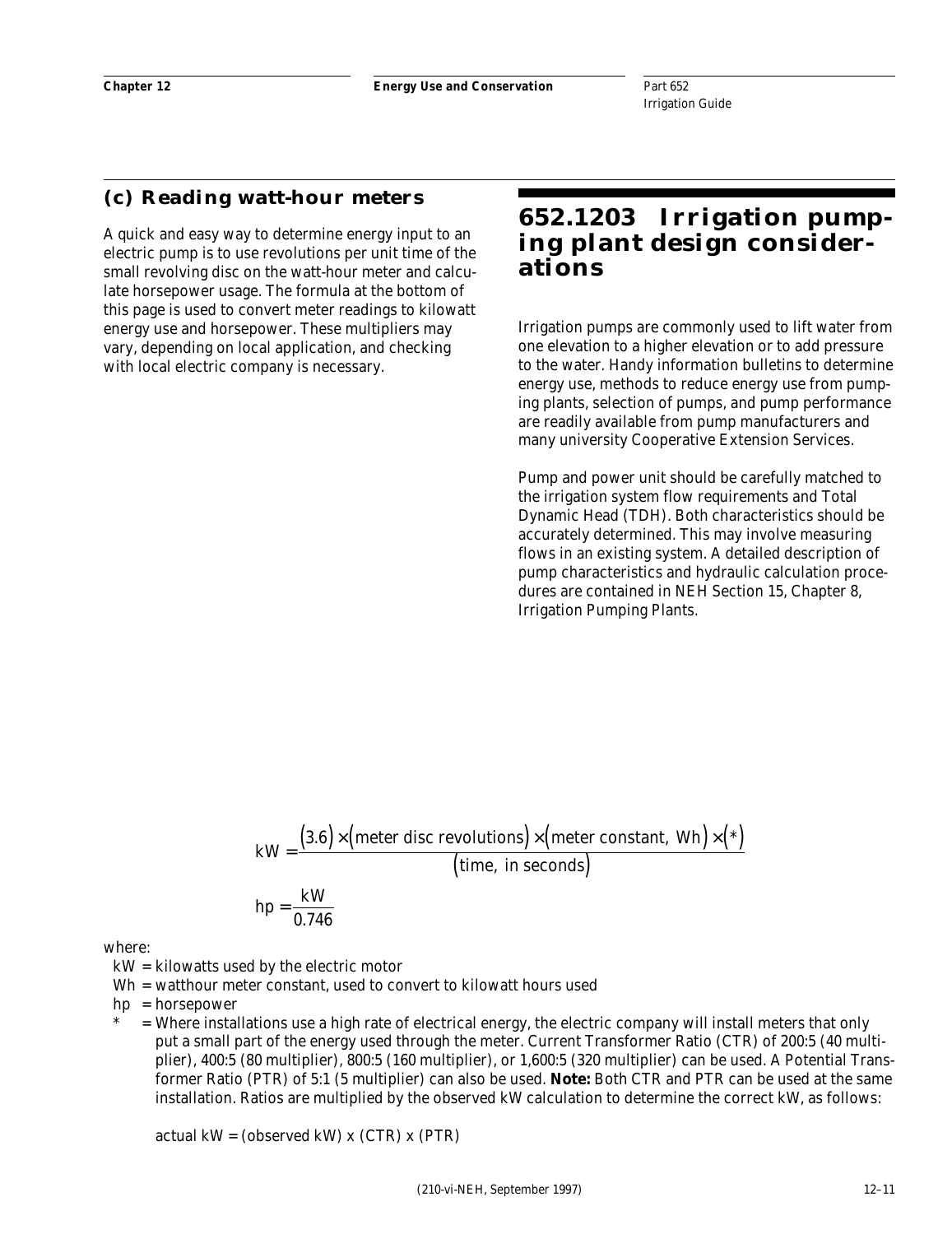## **(c) Reading watt-hour meters**

A quick and easy way to determine energy input to an electric pump is to use revolutions per unit time of the small revolving disc on the watt-hour meter and calculate horsepower usage. The formula at the bottom of this page is used to convert meter readings to kilowatt energy use and horsepower. These multipliers may vary, depending on local application, and checking with local electric company is necessary.

# **652.1203 Irrigation pumping plant design considerations**

Irrigation pumps are commonly used to lift water from one elevation to a higher elevation or to add pressure to the water. Handy information bulletins to determine energy use, methods to reduce energy use from pumping plants, selection of pumps, and pump performance are readily available from pump manufacturers and many university Cooperative Extension Services.

Pump and power unit should be carefully matched to the irrigation system flow requirements and Total Dynamic Head (TDH). Both characteristics should be accurately determined. This may involve measuring flows in an existing system. A detailed description of pump characteristics and hydraulic calculation procedures are contained in NEH Section 15, Chapter 8, Irrigation Pumping Plants.

$$
kW = \frac{(3.6) \times (meter \, disc \, revolutions) \times (meter \, constant, \, Wh) \times (*)}{(time, \, in \, seconds)}
$$
  
hp =  $\frac{kW}{2.742}$ 

where:

- kW = kilowatts used by the electric motor
- Wh = watthour meter constant, used to convert to kilowatt hours used
- hp = horsepower
- = Where installations use a high rate of electrical energy, the electric company will install meters that only put a small part of the energy used through the meter. Current Transformer Ratio (CTR) of 200:5 (40 multiplier), 400:5 (80 multiplier), 800:5 (160 multiplier), or 1,600:5 (320 multiplier) can be used. A Potential Transformer Ratio (PTR) of 5:1 (5 multiplier) can also be used. *Note:* Both CTR and PTR can be used at the same installation. Ratios are multiplied by the observed kW calculation to determine the correct kW, as follows:

actual  $kW = (observed kW) x (CTR) x (PTR)$ 

0.746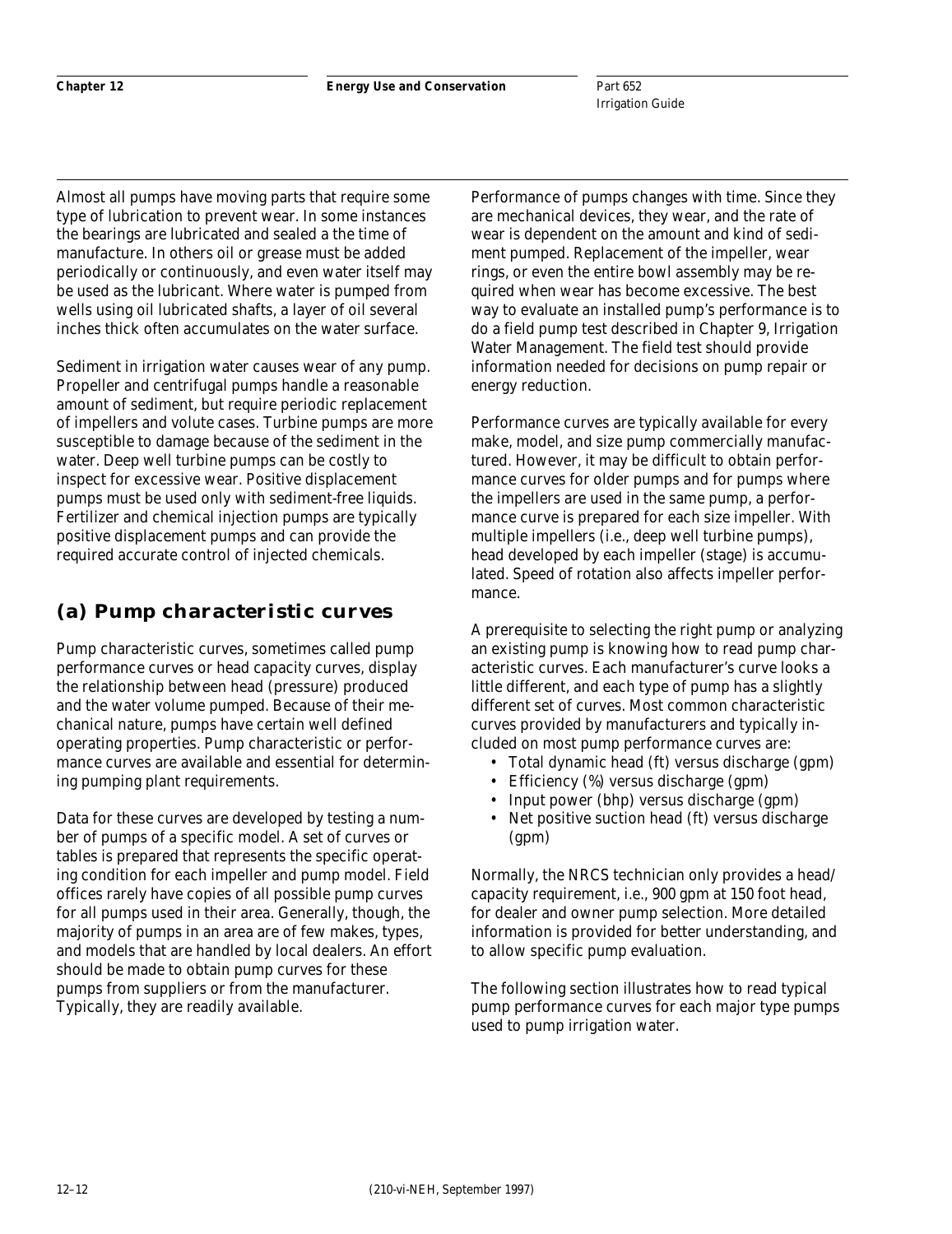Almost all pumps have moving parts that require some type of lubrication to prevent wear. In some instances the bearings are lubricated and sealed a the time of manufacture. In others oil or grease must be added periodically or continuously, and even water itself may be used as the lubricant. Where water is pumped from wells using oil lubricated shafts, a layer of oil several inches thick often accumulates on the water surface.

Sediment in irrigation water causes wear of any pump. Propeller and centrifugal pumps handle a reasonable amount of sediment, but require periodic replacement of impellers and volute cases. Turbine pumps are more susceptible to damage because of the sediment in the water. Deep well turbine pumps can be costly to inspect for excessive wear. Positive displacement pumps must be used only with sediment-free liquids. Fertilizer and chemical injection pumps are typically positive displacement pumps and can provide the required accurate control of injected chemicals.

# **(a) Pump characteristic curves**

Pump characteristic curves, sometimes called pump performance curves or head capacity curves, display the relationship between head (pressure) produced and the water volume pumped. Because of their mechanical nature, pumps have certain well defined operating properties. Pump characteristic or performance curves are available and essential for determining pumping plant requirements.

Data for these curves are developed by testing a number of pumps of a specific model. A set of curves or tables is prepared that represents the specific operating condition for each impeller and pump model. Field offices rarely have copies of all possible pump curves for all pumps used in their area. Generally, though, the majority of pumps in an area are of few makes, types, and models that are handled by local dealers. An effort should be made to obtain pump curves for these pumps from suppliers or from the manufacturer. Typically, they are readily available.

Performance of pumps changes with time. Since they are mechanical devices, they wear, and the rate of wear is dependent on the amount and kind of sediment pumped. Replacement of the impeller, wear rings, or even the entire bowl assembly may be required when wear has become excessive. The best way to evaluate an installed pump's performance is to do a field pump test described in Chapter 9, Irrigation Water Management. The field test should provide information needed for decisions on pump repair or energy reduction.

Performance curves are typically available for every make, model, and size pump commercially manufactured. However, it may be difficult to obtain performance curves for older pumps and for pumps where the impellers are used in the same pump, a performance curve is prepared for each size impeller. With multiple impellers (i.e., deep well turbine pumps), head developed by each impeller (stage) is accumulated. Speed of rotation also affects impeller performance.

A prerequisite to selecting the right pump or analyzing an existing pump is knowing how to read pump characteristic curves. Each manufacturer's curve looks a little different, and each type of pump has a slightly different set of curves. Most common characteristic curves provided by manufacturers and typically included on most pump performance curves are:

- Total dynamic head (ft) versus discharge (gpm)
- Efficiency (%) versus discharge (gpm)
- Input power (bhp) versus discharge (gpm)
- Net positive suction head (ft) versus discharge (gpm)

Normally, the NRCS technician only provides a head/ capacity requirement, i.e., 900 gpm at 150 foot head, for dealer and owner pump selection. More detailed information is provided for better understanding, and to allow specific pump evaluation.

The following section illustrates how to read typical pump performance curves for each major type pumps used to pump irrigation water.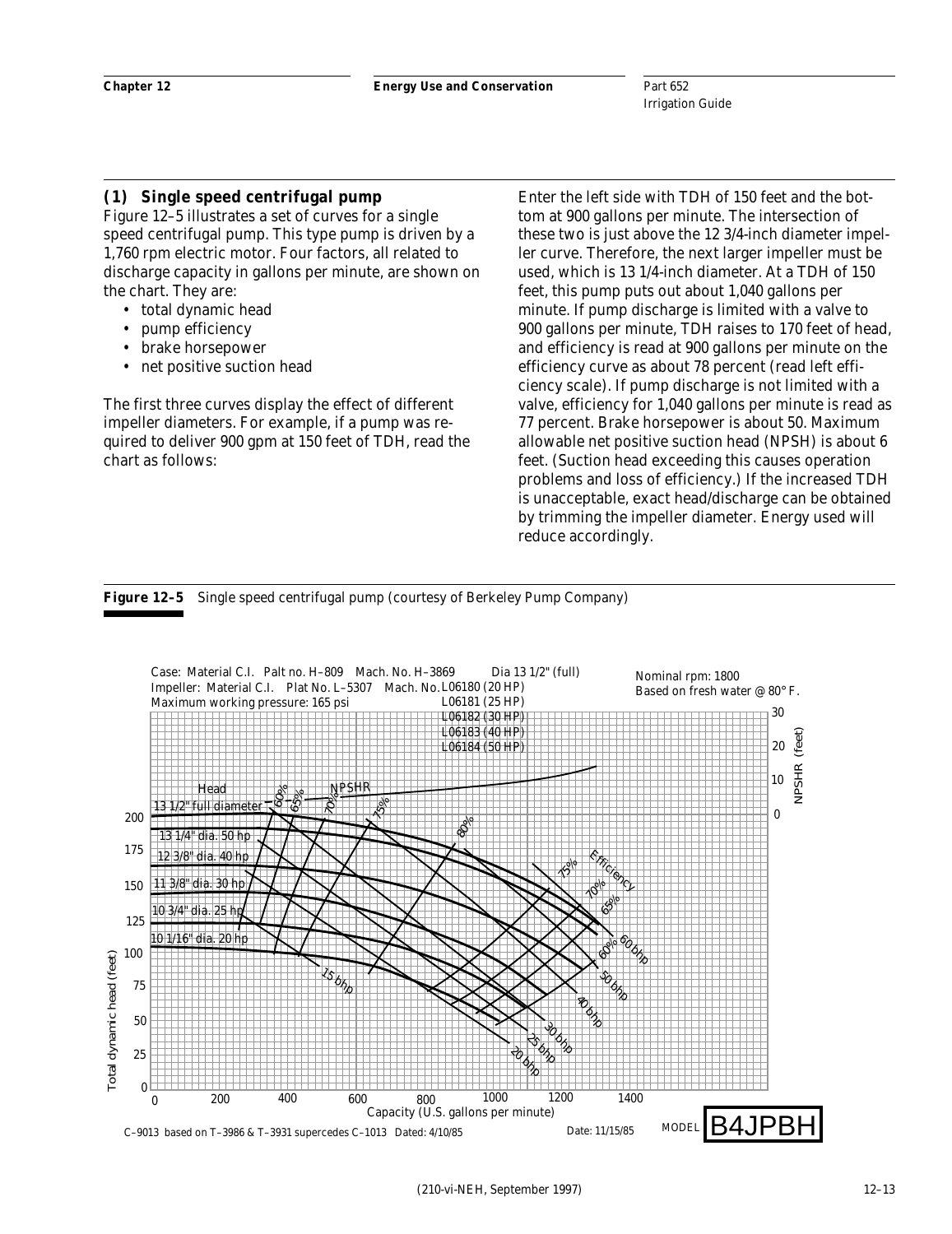## **(1) Single speed centrifugal pump**

Figure 12–5 illustrates a set of curves for a single speed centrifugal pump. This type pump is driven by a 1,760 rpm electric motor. Four factors, all related to discharge capacity in gallons per minute, are shown on the chart. They are:

- total dynamic head
- pump efficiency
- brake horsepower
- net positive suction head

The first three curves display the effect of different impeller diameters. For example, if a pump was required to deliver 900 gpm at 150 feet of TDH, read the chart as follows:

Enter the left side with TDH of 150 feet and the bottom at 900 gallons per minute. The intersection of these two is just above the 12 3/4-inch diameter impeller curve. Therefore, the next larger impeller must be used, which is 13 1/4-inch diameter. At a TDH of 150 feet, this pump puts out about 1,040 gallons per minute. If pump discharge is limited with a valve to 900 gallons per minute, TDH raises to 170 feet of head, and efficiency is read at 900 gallons per minute on the efficiency curve as about 78 percent (read left efficiency scale). If pump discharge is not limited with a valve, efficiency for 1,040 gallons per minute is read as 77 percent. Brake horsepower is about 50. Maximum allowable net positive suction head (NPSH) is about 6 feet. (Suction head exceeding this causes operation problems and loss of efficiency.) If the increased TDH is unacceptable, exact head/discharge can be obtained by trimming the impeller diameter. Energy used will reduce accordingly.

#### **Figure 12–5** Single speed centrifugal pump (courtesy of Berkeley Pump Company)

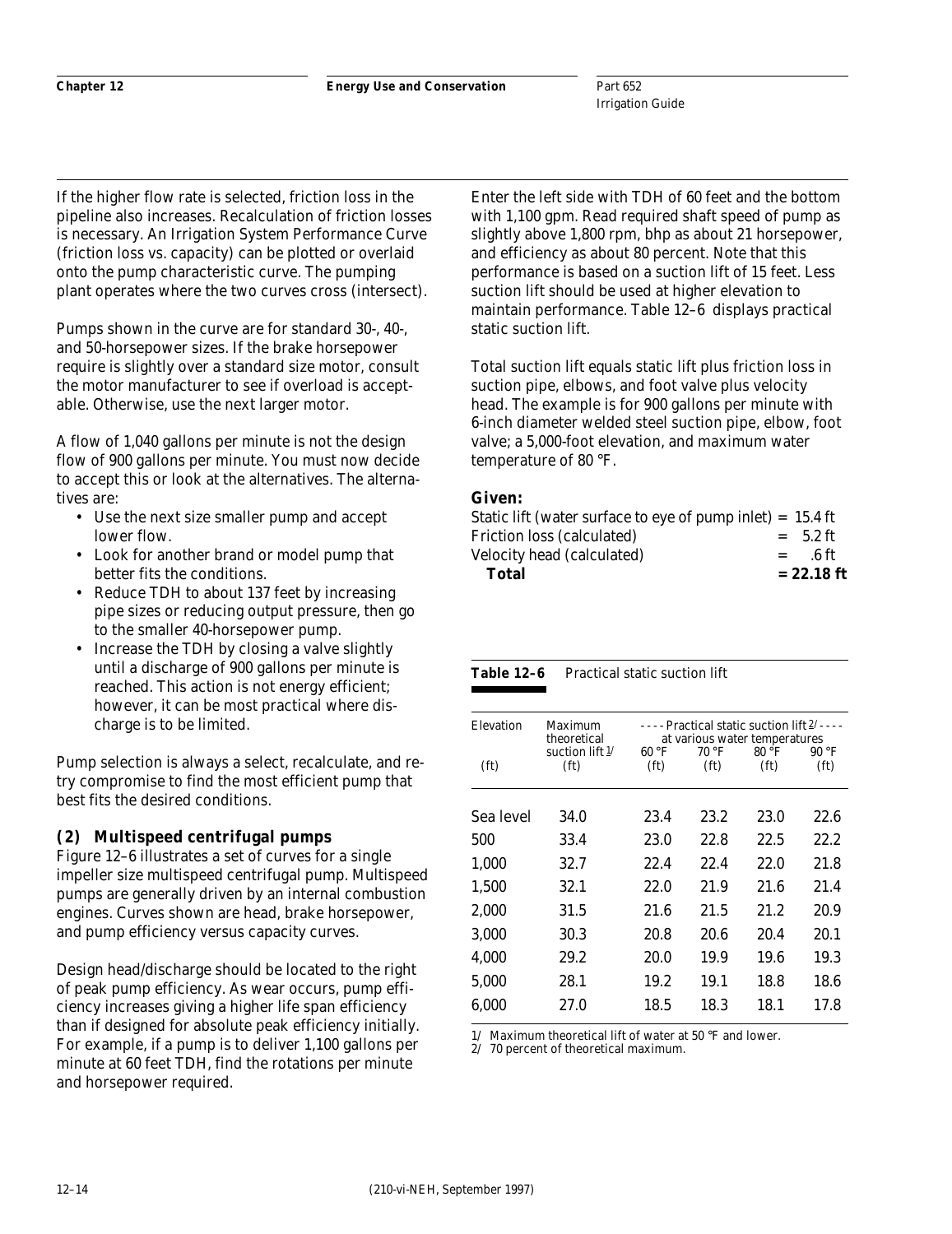Part 652 Irrigation Guide

If the higher flow rate is selected, friction loss in the pipeline also increases. Recalculation of friction losses is necessary. An Irrigation System Performance Curve (friction loss vs. capacity) can be plotted or overlaid onto the pump characteristic curve. The pumping plant operates where the two curves cross (intersect).

Pumps shown in the curve are for standard 30-, 40-, and 50-horsepower sizes. If the brake horsepower require is slightly over a standard size motor, consult the motor manufacturer to see if overload is acceptable. Otherwise, use the next larger motor.

A flow of 1,040 gallons per minute is not the design flow of 900 gallons per minute. You must now decide to accept this or look at the alternatives. The alternatives are:

- Use the next size smaller pump and accept lower flow.
- Look for another brand or model pump that better fits the conditions.
- Reduce TDH to about 137 feet by increasing pipe sizes or reducing output pressure, then go to the smaller 40-horsepower pump.
- Increase the TDH by closing a valve slightly until a discharge of 900 gallons per minute is reached. This action is not energy efficient; however, it can be most practical where discharge is to be limited.

Pump selection is always a select, recalculate, and retry compromise to find the most efficient pump that best fits the desired conditions.

## **(2) Multispeed centrifugal pumps**

Figure 12–6 illustrates a set of curves for a single impeller size multispeed centrifugal pump. Multispeed pumps are generally driven by an internal combustion engines. Curves shown are head, brake horsepower, and pump efficiency versus capacity curves.

Design head/discharge should be located to the right of peak pump efficiency. As wear occurs, pump efficiency increases giving a higher life span efficiency than if designed for absolute peak efficiency initially. For example, if a pump is to deliver 1,100 gallons per minute at 60 feet TDH, find the rotations per minute and horsepower required.

Enter the left side with TDH of 60 feet and the bottom with 1,100 gpm. Read required shaft speed of pump as slightly above 1,800 rpm, bhp as about 21 horsepower, and efficiency as about 80 percent. Note that this performance is based on a suction lift of 15 feet. Less suction lift should be used at higher elevation to maintain performance. Table 12–6 displays practical static suction lift.

Total suction lift equals static lift plus friction loss in suction pipe, elbows, and foot valve plus velocity head. The example is for 900 gallons per minute with 6-inch diameter welded steel suction pipe, elbow, foot valve; a 5,000-foot elevation, and maximum water temperature of 80 °F.

## **Given:**

| <b>Total</b>                                                         | $= 22.18$ ft |
|----------------------------------------------------------------------|--------------|
| Velocity head (calculated)<br>$=$                                    | - 6 ft       |
| Friction loss (calculated)                                           | $= 5.2$ ft   |
| Static lift (water surface to eye of pump inlet) = $15.4 \text{ ft}$ |              |

| Table 12–6 | Practical static suction lift |  |
|------------|-------------------------------|--|
|------------|-------------------------------|--|

|  |  |  | . | . |  |  |  |  |
|--|--|--|---|---|--|--|--|--|
|  |  |  |   |   |  |  |  |  |
|  |  |  |   |   |  |  |  |  |
|  |  |  |   |   |  |  |  |  |
|  |  |  |   |   |  |  |  |  |
|  |  |  |   |   |  |  |  |  |
|  |  |  |   |   |  |  |  |  |

| Elevation         | Maximum<br>theoretical | $\cdots$ Practical static suction lift $2/\cdots$<br>at various water temperatures |                   |                   |                   |  |  |
|-------------------|------------------------|------------------------------------------------------------------------------------|-------------------|-------------------|-------------------|--|--|
|                   | suction lift $1/$      | 60 °F                                                                              | 70 °F             | $80^{\circ}$ F    | $90°$ F           |  |  |
| (f <sub>t</sub> ) | (f <sub>t</sub> )      | (f <sub>t</sub> )                                                                  | (f <sub>t</sub> ) | (f <sub>t</sub> ) | (f <sub>t</sub> ) |  |  |
| Sea level         | 34.0                   | 23.4                                                                               | 23.2              | 23.0              | 22.6              |  |  |
| 500               | 33.4                   | 23.0                                                                               | 22.8              | 22.5              | 22.2              |  |  |
| 1.000             | 32.7                   | 22.4                                                                               | 22.4              | 22.0              | 21.8              |  |  |
| 1.500             | 32.1                   | 22.0                                                                               | 21.9              | 21.6              | 21.4              |  |  |
| 2.000             | 31.5                   | 21.6                                                                               | 21.5              | 21.2              | 20.9              |  |  |
| 3.000             | 30.3                   | 20.8                                                                               | 20.6              | 20.4              | 20.1              |  |  |
| 4,000             | 29.2                   | 20.0                                                                               | 19.9              | 19.6              | 19.3              |  |  |
| 5.000             | 28.1                   | 19.2                                                                               | 19.1              | 18.8              | 18.6              |  |  |
| 6.000             | 27.0                   | 18.5                                                                               | 18.3              | 18.1              | 17.8              |  |  |

1/ Maximum theoretical lift of water at 50 °F and lower.

2/ 70 percent of theoretical maximum.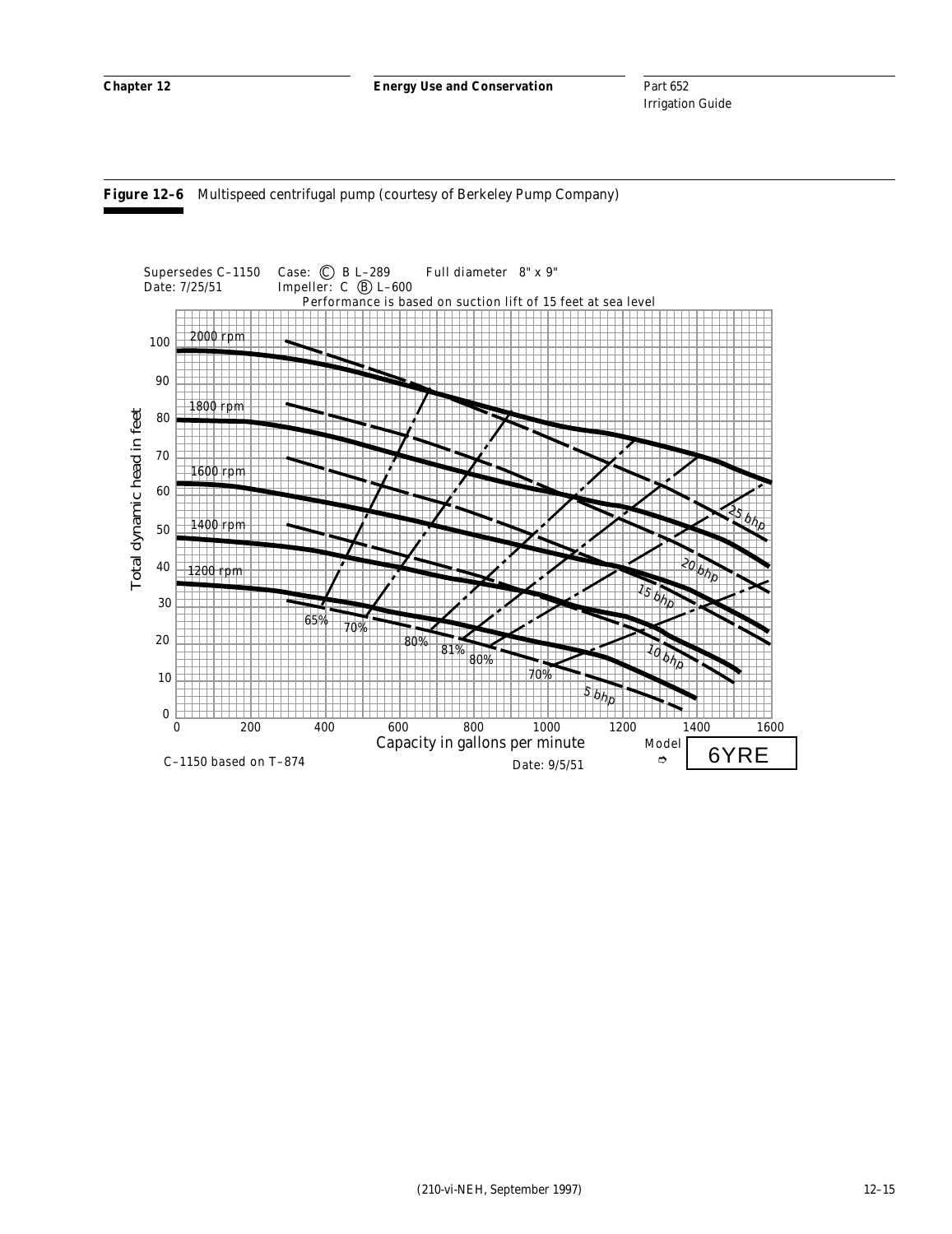

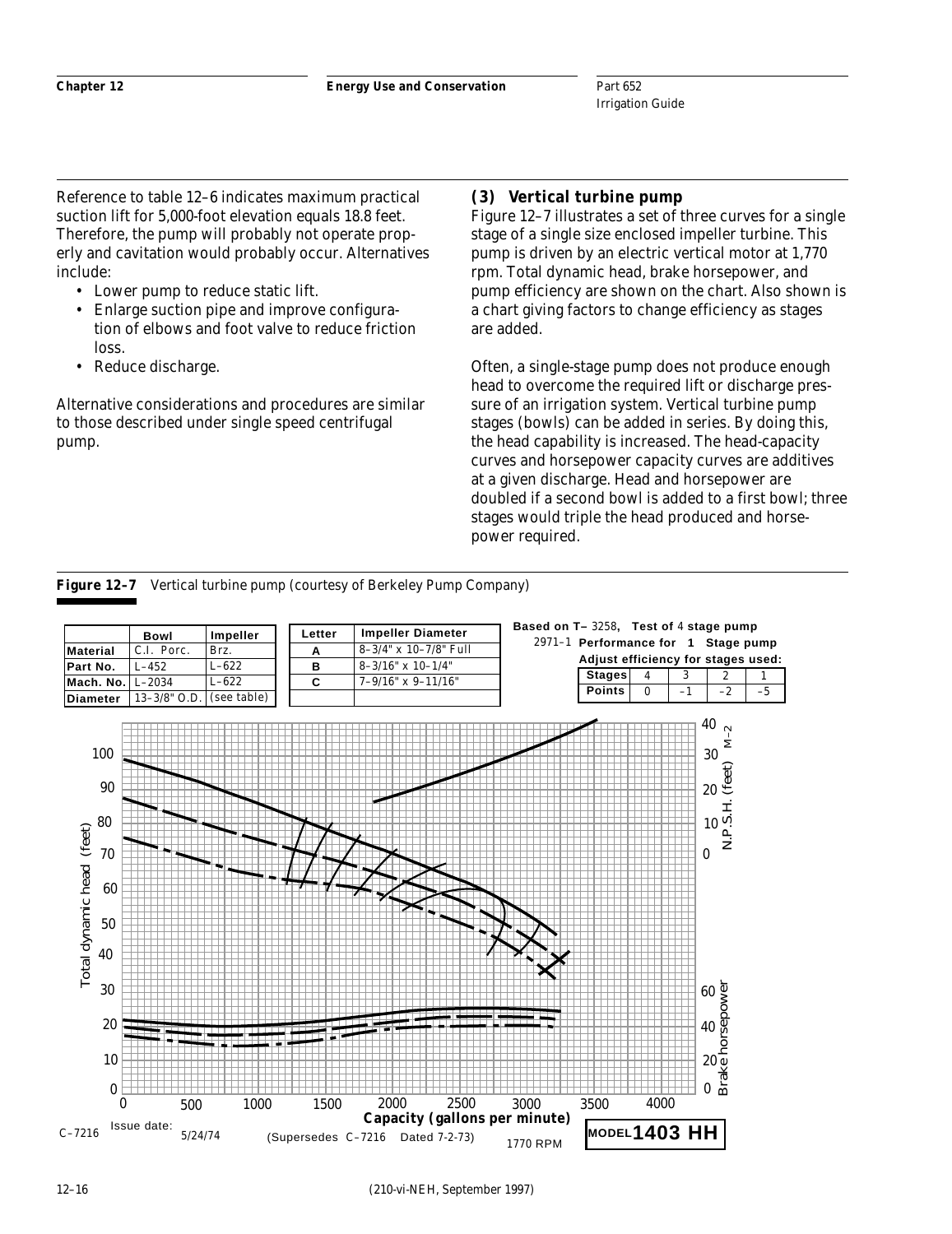Reference to table 12–6 indicates maximum practical suction lift for 5,000-foot elevation equals 18.8 feet. Therefore, the pump will probably not operate properly and cavitation would probably occur. Alternatives include:

- Lower pump to reduce static lift.
- Enlarge suction pipe and improve configuration of elbows and foot valve to reduce friction loss.
- Reduce discharge.

Alternative considerations and procedures are similar to those described under single speed centrifugal pump.

## **(3) Vertical turbine pump**

Figure 12–7 illustrates a set of three curves for a single stage of a single size enclosed impeller turbine. This pump is driven by an electric vertical motor at 1,770 rpm. Total dynamic head, brake horsepower, and pump efficiency are shown on the chart. Also shown is a chart giving factors to change efficiency as stages are added.

Often, a single-stage pump does not produce enough head to overcome the required lift or discharge pressure of an irrigation system. Vertical turbine pump stages (bowls) can be added in series. By doing this, the head capability is increased. The head-capacity curves and horsepower capacity curves are additives at a given discharge. Head and horsepower are doubled if a second bowl is added to a first bowl; three stages would triple the head produced and horsepower required.



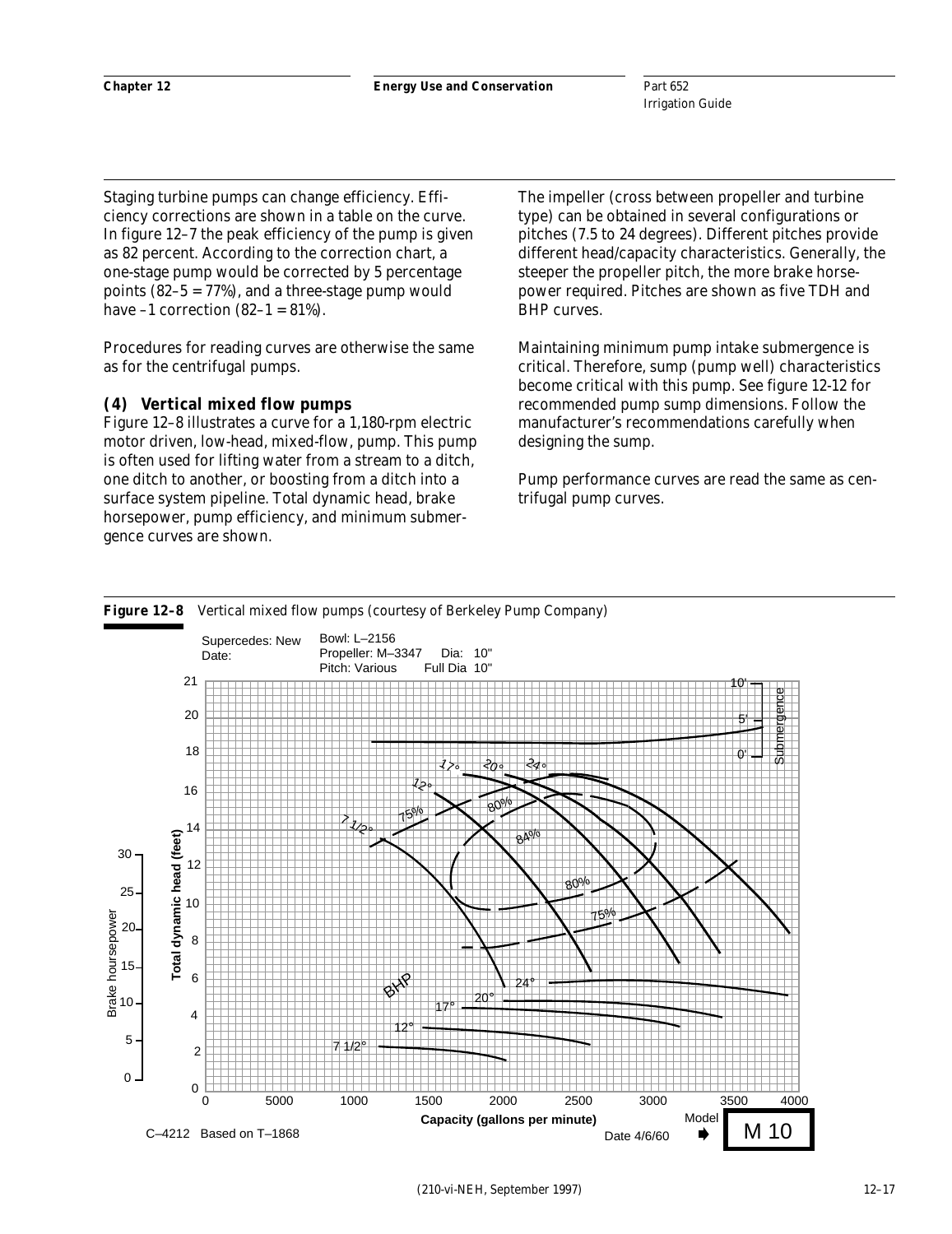Staging turbine pumps can change efficiency. Efficiency corrections are shown in a table on the curve. In figure 12–7 the peak efficiency of the pump is given as 82 percent. According to the correction chart, a one-stage pump would be corrected by 5 percentage points (82–5 = 77%), and a three-stage pump would have  $-1$  correction  $(82-1 = 81\%)$ .

Procedures for reading curves are otherwise the same as for the centrifugal pumps.

#### **(4) Vertical mixed flow pumps**

Figure 12–8 illustrates a curve for a 1,180-rpm electric motor driven, low-head, mixed-flow, pump. This pump is often used for lifting water from a stream to a ditch, one ditch to another, or boosting from a ditch into a surface system pipeline. Total dynamic head, brake horsepower, pump efficiency, and minimum submergence curves are shown.

The impeller (cross between propeller and turbine type) can be obtained in several configurations or pitches (7.5 to 24 degrees). Different pitches provide different head/capacity characteristics. Generally, the steeper the propeller pitch, the more brake horsepower required. Pitches are shown as five TDH and BHP curves.

Maintaining minimum pump intake submergence is critical. Therefore, sump (pump well) characteristics become critical with this pump. See figure 12-12 for recommended pump sump dimensions. Follow the manufacturer's recommendations carefully when designing the sump.

Pump performance curves are read the same as centrifugal pump curves.

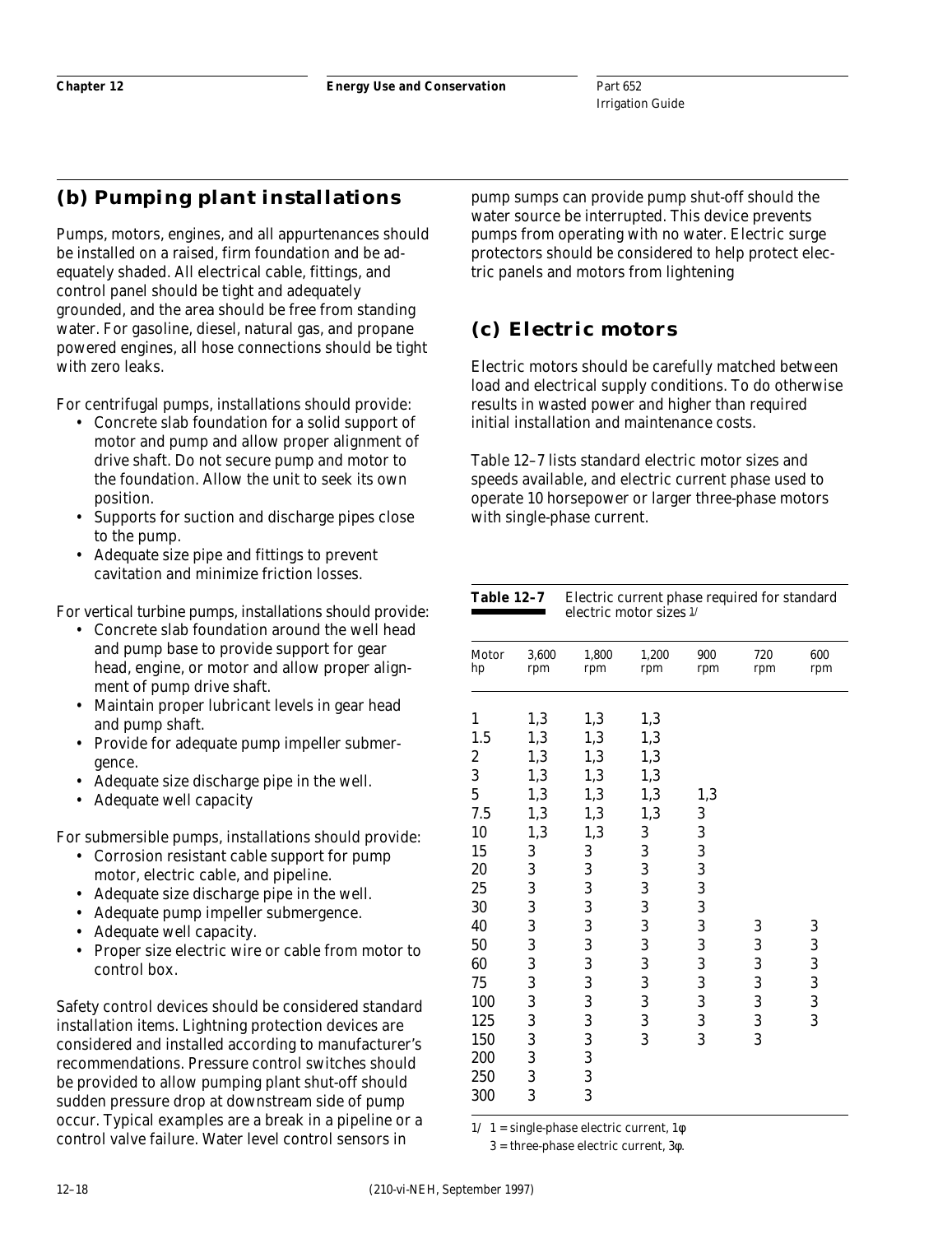# **(b) Pumping plant installations**

Pumps, motors, engines, and all appurtenances should be installed on a raised, firm foundation and be adequately shaded. All electrical cable, fittings, and control panel should be tight and adequately grounded, and the area should be free from standing water. For gasoline, diesel, natural gas, and propane powered engines, all hose connections should be tight with zero leaks.

For centrifugal pumps, installations should provide:

- Concrete slab foundation for a solid support of motor and pump and allow proper alignment of drive shaft. Do not secure pump and motor to the foundation. Allow the unit to seek its own position.
- Supports for suction and discharge pipes close to the pump.
- Adequate size pipe and fittings to prevent cavitation and minimize friction losses.

For vertical turbine pumps, installations should provide:

- Concrete slab foundation around the well head and pump base to provide support for gear head, engine, or motor and allow proper alignment of pump drive shaft.
- Maintain proper lubricant levels in gear head and pump shaft.
- Provide for adequate pump impeller submergence.
- Adequate size discharge pipe in the well.
- Adequate well capacity

For submersible pumps, installations should provide:

- Corrosion resistant cable support for pump motor, electric cable, and pipeline.
- Adequate size discharge pipe in the well.
- Adequate pump impeller submergence.
- Adequate well capacity.
- Proper size electric wire or cable from motor to control box.

Safety control devices should be considered standard installation items. Lightning protection devices are considered and installed according to manufacturer's recommendations. Pressure control switches should be provided to allow pumping plant shut-off should sudden pressure drop at downstream side of pump occur. Typical examples are a break in a pipeline or a control valve failure. Water level control sensors in

pump sumps can provide pump shut-off should the water source be interrupted. This device prevents pumps from operating with no water. Electric surge protectors should be considered to help protect electric panels and motors from lightening

# **(c) Electric motors**

Electric motors should be carefully matched between load and electrical supply conditions. To do otherwise results in wasted power and higher than required initial installation and maintenance costs.

Table 12–7 lists standard electric motor sizes and speeds available, and electric current phase used to operate 10 horsepower or larger three-phase motors with single-phase current.

| <b>Table 12-7</b> |              | Electric current phase required for standard<br>electric motor sizes 1/ |              |            |            |            |  |  |
|-------------------|--------------|-------------------------------------------------------------------------|--------------|------------|------------|------------|--|--|
| Motor<br>hp       | 3,600<br>rpm | 1,800<br>rpm                                                            | 1,200<br>rpm | 900<br>rpm | 720<br>rpm | 600<br>rpm |  |  |
| 1                 | 1,3          | 1,3                                                                     | 1,3          |            |            |            |  |  |
| 1.5               | 1,3          | 1,3                                                                     | 1,3          |            |            |            |  |  |
| $\boldsymbol{2}$  | 1,3          | 1,3                                                                     | 1,3          |            |            |            |  |  |
| 3                 | 1,3          | 1,3                                                                     | 1,3          |            |            |            |  |  |
| $\overline{5}$    | 1,3          | 1,3                                                                     | 1,3          | 1,3        |            |            |  |  |
| 7.5               | 1,3          | 1,3                                                                     | 1,3          | 3          |            |            |  |  |
| 10                | 1,3          | 1,3                                                                     | 3            | 3          |            |            |  |  |
| 15                | 3            | 3                                                                       | 3            | 3          |            |            |  |  |
| 20                | 3            | 3                                                                       | 3            | 3          |            |            |  |  |
| 25                | 3            | 3                                                                       | 3            | 3          |            |            |  |  |
| 30                | 3            | 3                                                                       | 3            | 3          |            |            |  |  |
| 40                | 3            | 3                                                                       | 3            | 3          | 3          | 3          |  |  |
| 50                | 3            | 3                                                                       | 3            | 3          | 3          | 3          |  |  |
| 60                | 3            | 3                                                                       | 3            | 3          | 3          | 3          |  |  |
| 75                | 3            | 3                                                                       | 3            | 3          | 3          | 3          |  |  |
| 100               | 3            | 3                                                                       | 3            | 3          | 3          | 3          |  |  |
| 125               | 3            | 3                                                                       | 3            | 3          | 3          | 3          |  |  |
| 150               | 3            | 3                                                                       | 3            | 3          | 3          |            |  |  |
| 200               | 3            | 3                                                                       |              |            |            |            |  |  |
| 250               | 3            | 3                                                                       |              |            |            |            |  |  |
| 300               | 3            | 3                                                                       |              |            |            |            |  |  |

 $1/ 1 =$  single-phase electric current,  $1\phi$ 

3 = three-phase electric current, 3φ.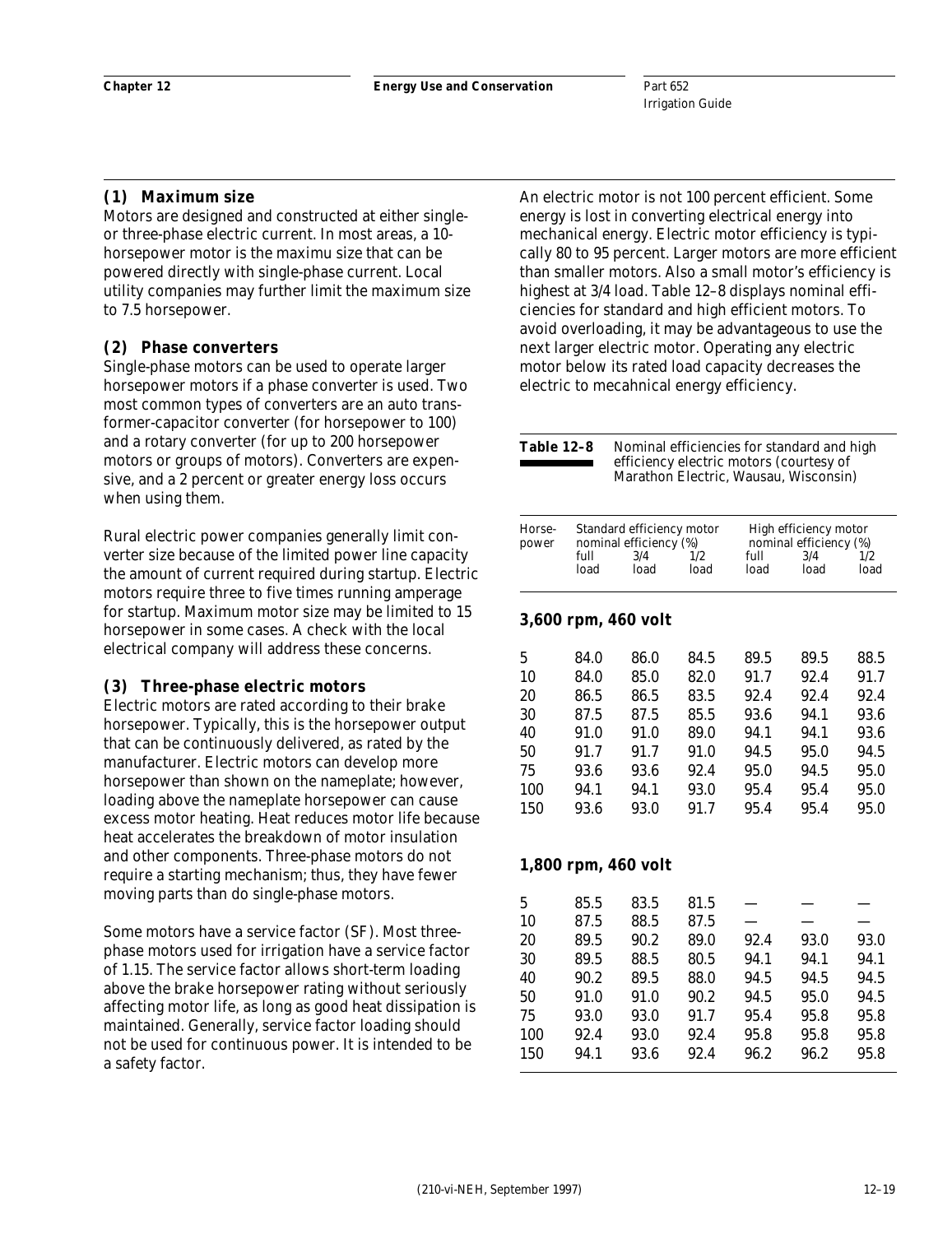## **(1) Maximum size**

Motors are designed and constructed at either singleor three-phase electric current. In most areas, a 10 horsepower motor is the maximu size that can be powered directly with single-phase current. Local utility companies may further limit the maximum size to 7.5 horsepower.

## **(2) Phase converters**

Single-phase motors can be used to operate larger horsepower motors if a phase converter is used. Two most common types of converters are an auto transformer-capacitor converter (for horsepower to 100) and a rotary converter (for up to 200 horsepower motors or groups of motors). Converters are expensive, and a 2 percent or greater energy loss occurs when using them.

Rural electric power companies generally limit converter size because of the limited power line capacity the amount of current required during startup. Electric motors require three to five times running amperage for startup. Maximum motor size may be limited to 15 horsepower in some cases. A check with the local electrical company will address these concerns.

#### **(3) Three-phase electric motors**

Electric motors are rated according to their brake horsepower. Typically, this is the horsepower output that can be continuously delivered, as rated by the manufacturer. Electric motors can develop more horsepower than shown on the nameplate; however, loading above the nameplate horsepower can cause excess motor heating. Heat reduces motor life because heat accelerates the breakdown of motor insulation and other components. Three-phase motors do not require a starting mechanism; thus, they have fewer moving parts than do single-phase motors.

Some motors have a service factor (SF). Most threephase motors used for irrigation have a service factor of 1.15. The service factor allows short-term loading above the brake horsepower rating without seriously affecting motor life, as long as good heat dissipation is maintained. Generally, service factor loading should not be used for continuous power. It is intended to be a safety factor.

An electric motor is not 100 percent efficient. Some energy is lost in converting electrical energy into mechanical energy. Electric motor efficiency is typically 80 to 95 percent. Larger motors are more efficient than smaller motors. Also a small motor's efficiency is highest at 3/4 load. Table 12–8 displays nominal efficiencies for standard and high efficient motors. To avoid overloading, it may be advantageous to use the next larger electric motor. Operating any electric motor below its rated load capacity decreases the electric to mecahnical energy efficiency.

| Table 12–8 | Nominal efficiencies for standard and high<br>efficiency electric motors (courtesy of<br>Marathon Electric, Wausau, Wisconsin) |
|------------|--------------------------------------------------------------------------------------------------------------------------------|
|            |                                                                                                                                |
|            |                                                                                                                                |

| Horse-<br>power     |      | Standard efficiency motor<br>nominal efficiency (%) |      | High efficiency motor<br>nominal efficiency (%) |      |      |  |  |  |
|---------------------|------|-----------------------------------------------------|------|-------------------------------------------------|------|------|--|--|--|
|                     | full | 3/4                                                 | 1/2. | full                                            | 3/4  | 1/2. |  |  |  |
|                     | load | load                                                | load | load                                            | load | load |  |  |  |
| 3,600 rpm, 460 volt |      |                                                     |      |                                                 |      |      |  |  |  |
|                     |      | ^^ ^                                                |      |                                                 |      |      |  |  |  |

| 5   | 84.0 | 86.0 | 84.5 | 89.5 | 89.5 | 88.5 |
|-----|------|------|------|------|------|------|
| 10  | 84.0 | 85.0 | 82.0 | 91.7 | 92.4 | 91.7 |
| 20  | 86.5 | 86.5 | 83.5 | 92.4 | 92.4 | 92.4 |
| 30  | 87.5 | 87.5 | 85.5 | 93.6 | 94.1 | 93.6 |
| 40  | 91.0 | 91.0 | 89.0 | 94.1 | 94.1 | 93.6 |
| 50  | 91.7 | 91.7 | 91.0 | 94.5 | 95.0 | 94.5 |
| 75  | 93.6 | 93.6 | 92.4 | 95.0 | 94.5 | 95.0 |
| 100 | 94.1 | 94.1 | 93.0 | 95.4 | 95.4 | 95.0 |
| 150 | 93.6 | 93.0 | 91.7 | 95.4 | 95.4 | 95.0 |
|     |      |      |      |      |      |      |

#### **1,800 rpm, 460 volt**

| 5   | 85.5 | 83.5 | 81.5 |      |      |      |
|-----|------|------|------|------|------|------|
| 10  | 87.5 | 88.5 | 87.5 |      |      |      |
| 20  | 89.5 | 90.2 | 89.0 | 92.4 | 93.0 | 93.0 |
| 30  | 89.5 | 88.5 | 80.5 | 94.1 | 94.1 | 94.1 |
| 40  | 90.2 | 89.5 | 88.0 | 94.5 | 94.5 | 94.5 |
| 50  | 91.0 | 91.0 | 90.2 | 94.5 | 95.0 | 94.5 |
| 75  | 93.0 | 93.0 | 91.7 | 95.4 | 95.8 | 95.8 |
| 100 | 92.4 | 93.0 | 92.4 | 95.8 | 95.8 | 95.8 |
| 150 | 94.1 | 93.6 | 92.4 | 96.2 | 96.2 | 95.8 |
|     |      |      |      |      |      |      |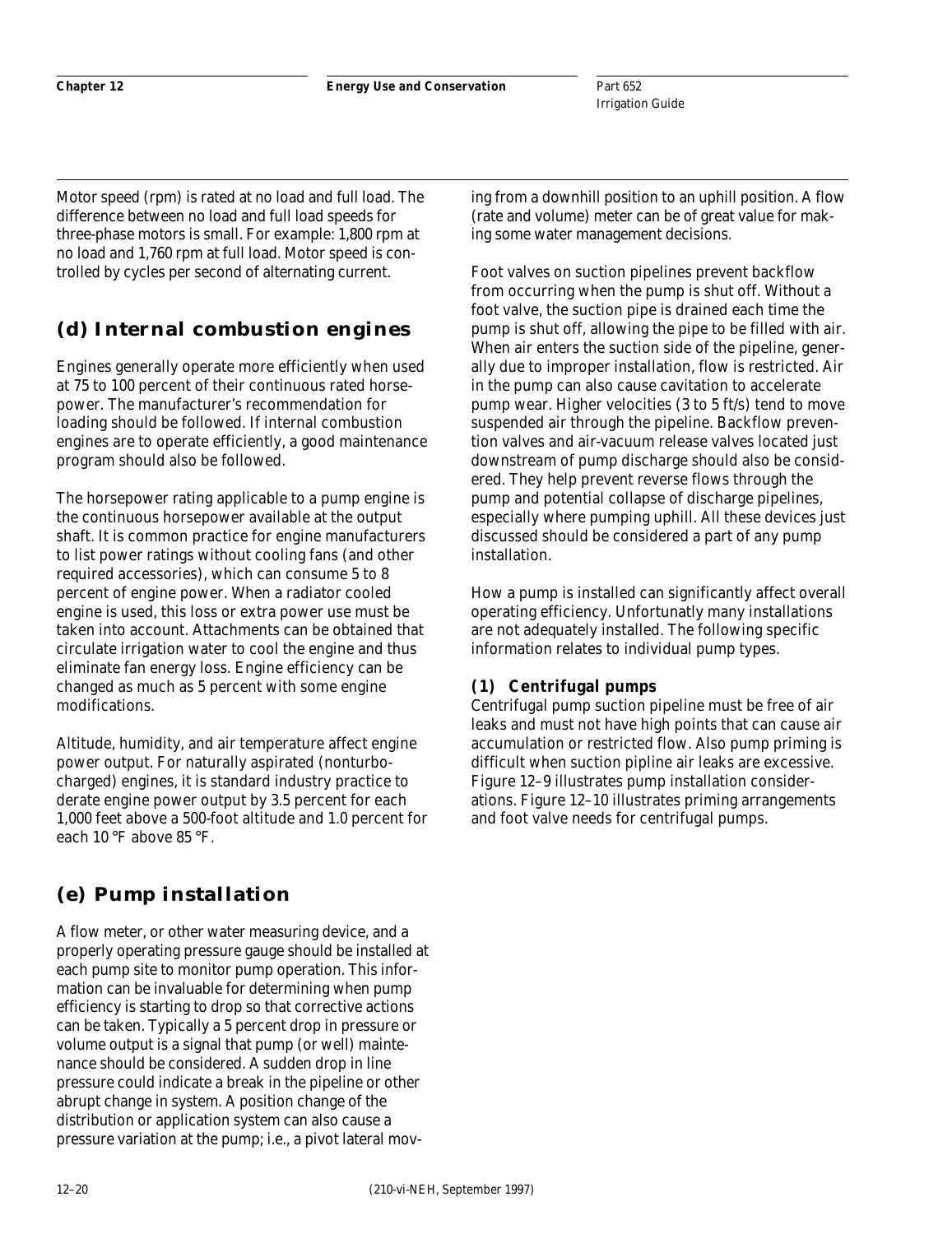Part 652 Irrigation Guide

Motor speed (rpm) is rated at no load and full load. The difference between no load and full load speeds for three-phase motors is small. For example: 1,800 rpm at no load and 1,760 rpm at full load. Motor speed is controlled by cycles per second of alternating current.

# **(d) Internal combustion engines**

Engines generally operate more efficiently when used at 75 to 100 percent of their continuous rated horsepower. The manufacturer's recommendation for loading should be followed. If internal combustion engines are to operate efficiently, a good maintenance program should also be followed.

The horsepower rating applicable to a pump engine is the continuous horsepower available at the output shaft. It is common practice for engine manufacturers to list power ratings without cooling fans (and other required accessories), which can consume 5 to 8 percent of engine power. When a radiator cooled engine is used, this loss or extra power use must be taken into account. Attachments can be obtained that circulate irrigation water to cool the engine and thus eliminate fan energy loss. Engine efficiency can be changed as much as 5 percent with some engine modifications.

Altitude, humidity, and air temperature affect engine power output. For naturally aspirated (nonturbocharged) engines, it is standard industry practice to derate engine power output by 3.5 percent for each 1,000 feet above a 500-foot altitude and 1.0 percent for each 10 °F above 85 °F.

# **(e) Pump installation**

A flow meter, or other water measuring device, and a properly operating pressure gauge should be installed at each pump site to monitor pump operation. This information can be invaluable for determining when pump efficiency is starting to drop so that corrective actions can be taken. Typically a 5 percent drop in pressure or volume output is a signal that pump (or well) maintenance should be considered. A sudden drop in line pressure could indicate a break in the pipeline or other abrupt change in system. A position change of the distribution or application system can also cause a pressure variation at the pump; i.e., a pivot lateral moving from a downhill position to an uphill position. A flow (rate and volume) meter can be of great value for making some water management decisions.

Foot valves on suction pipelines prevent backflow from occurring when the pump is shut off. Without a foot valve, the suction pipe is drained each time the pump is shut off, allowing the pipe to be filled with air. When air enters the suction side of the pipeline, generally due to improper installation, flow is restricted. Air in the pump can also cause cavitation to accelerate pump wear. Higher velocities (3 to 5 ft/s) tend to move suspended air through the pipeline. Backflow prevention valves and air-vacuum release valves located just downstream of pump discharge should also be considered. They help prevent reverse flows through the pump and potential collapse of discharge pipelines, especially where pumping uphill. All these devices just discussed should be considered a part of any pump installation.

How a pump is installed can significantly affect overall operating efficiency. Unfortunatly many installations are not adequately installed. The following specific information relates to individual pump types.

## **(1) Centrifugal pumps**

Centrifugal pump suction pipeline must be free of air leaks and must not have high points that can cause air accumulation or restricted flow. Also pump priming is difficult when suction pipline air leaks are excessive. Figure 12–9 illustrates pump installation considerations. Figure 12–10 illustrates priming arrangements and foot valve needs for centrifugal pumps.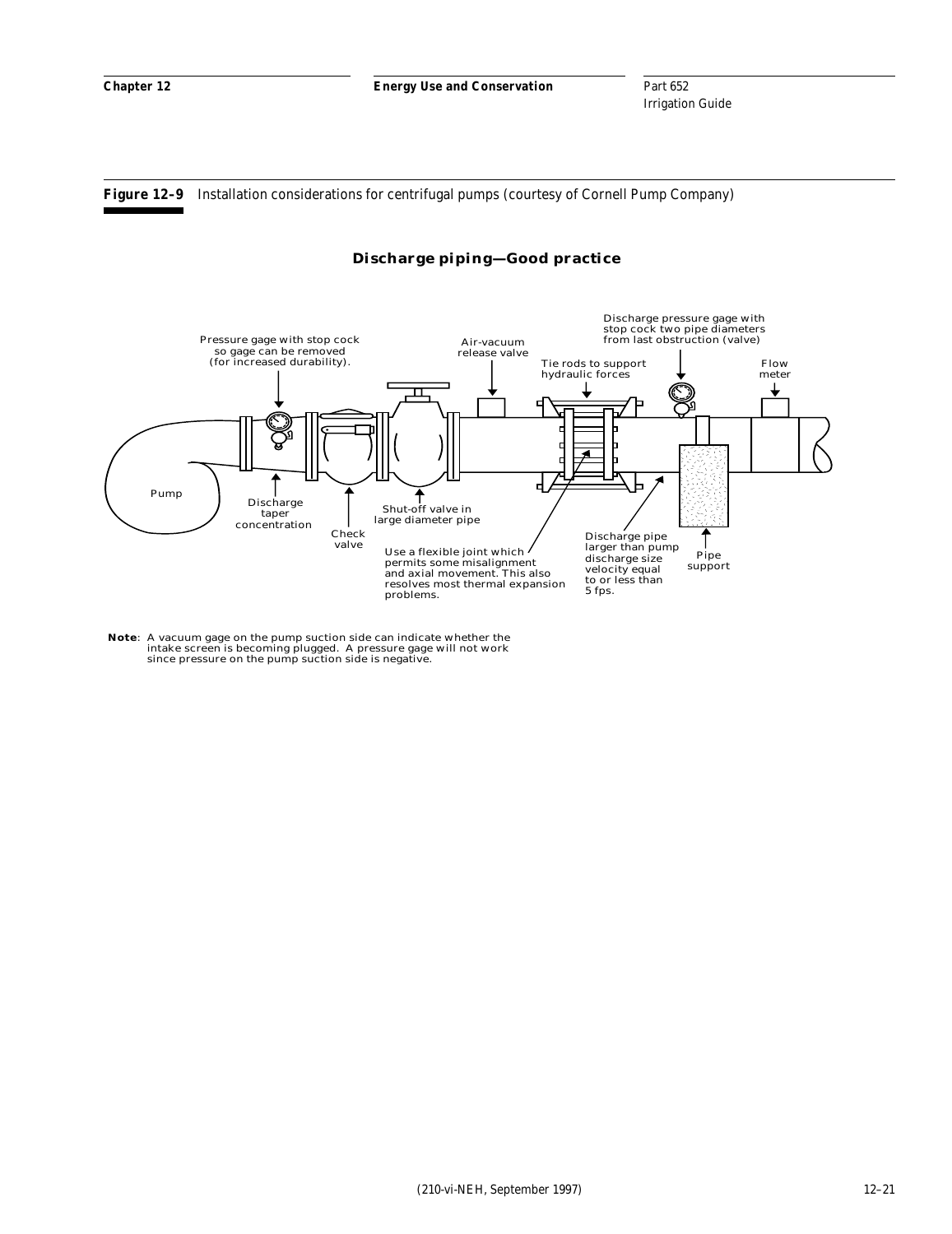**Figure 12–9** Installation considerations for centrifugal pumps (courtesy of Cornell Pump Company)

#### **Discharge piping—Good practice**



**Note**: A vacuum gage on the pump suction side can indicate whether the intake screen is becoming plugged. A pressure gage will not work since pressure on the pump suction side is negative.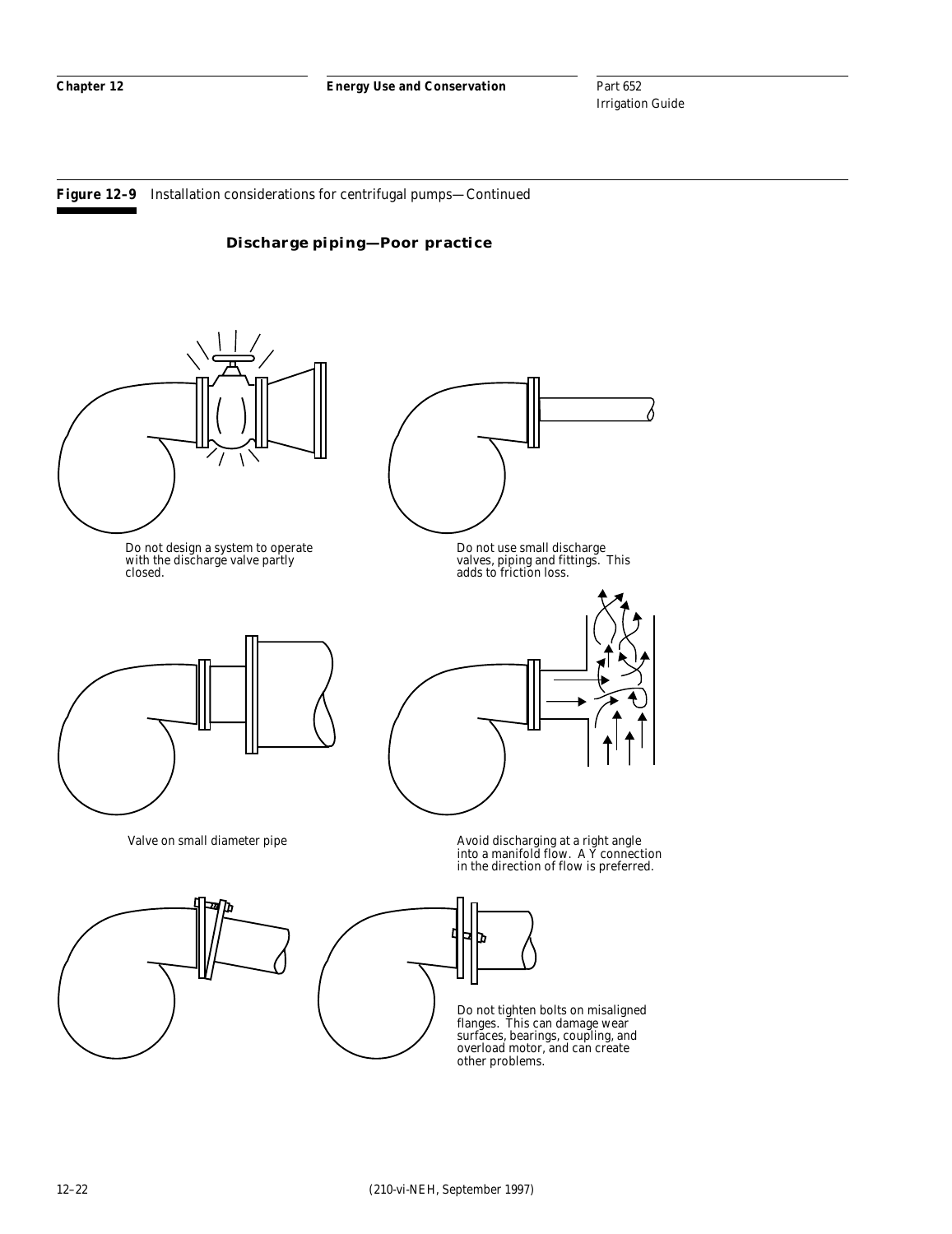Part 652 Irrigation Guide

**Figure 12–9** Installation considerations for centrifugal pumps—Continued



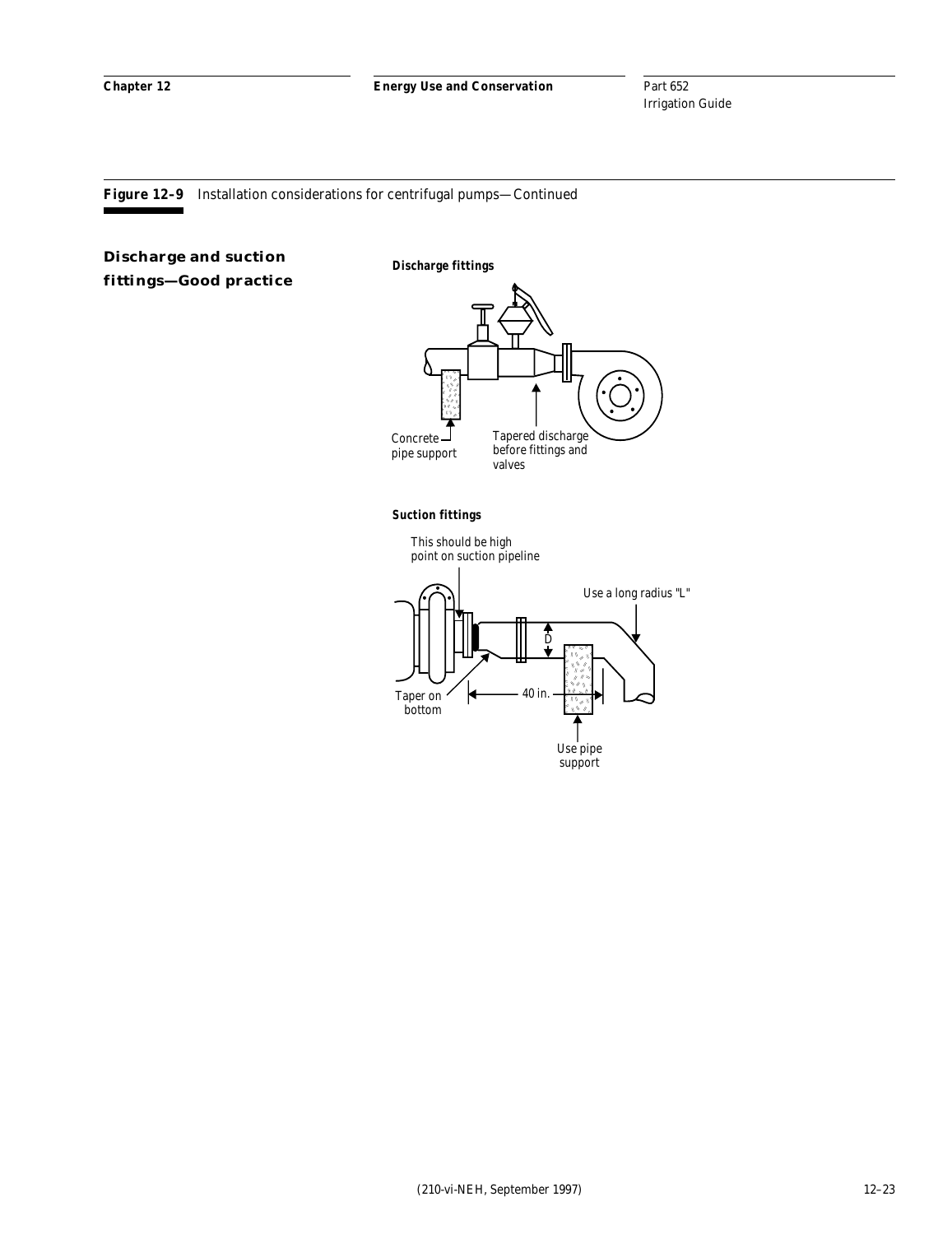**Figure 12–9** Installation considerations for centrifugal pumps—Continued

## **Discharge and suction fittings—Good practice**

**Discharge fittings**



**Suction fittings**

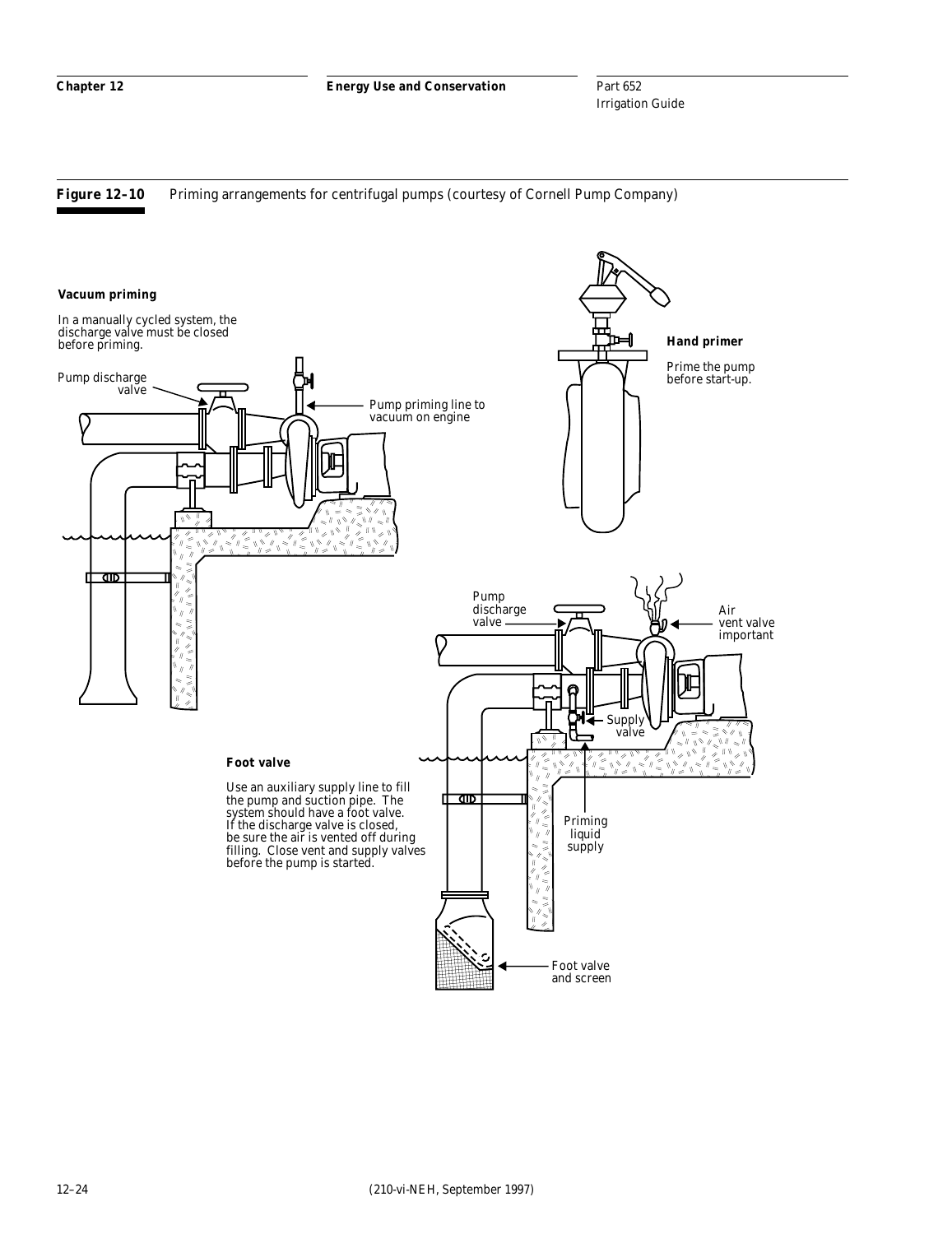Part 652 Irrigation Guide

Figure 12-10 Priming arrangements for centrifugal pumps (courtesy of Cornell Pump Company)

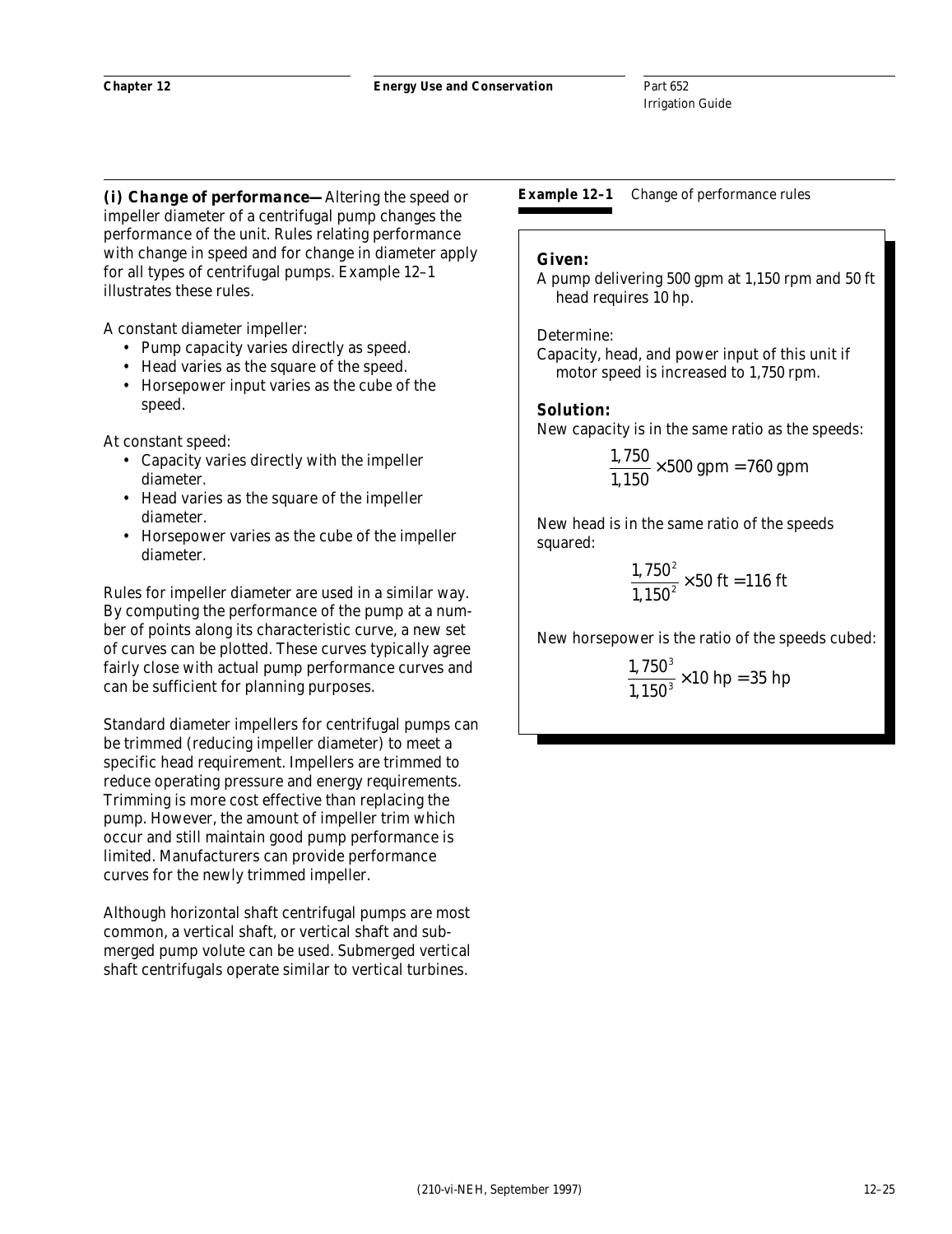*(i) Change of performance—*Altering the speed or impeller diameter of a centrifugal pump changes the performance of the unit. Rules relating performance with change in speed and for change in diameter apply for all types of centrifugal pumps. Example 12–1 illustrates these rules.

A constant diameter impeller:

- Pump capacity varies directly as speed.
- Head varies as the square of the speed.
- Horsepower input varies as the cube of the speed.

At constant speed:

- Capacity varies directly with the impeller diameter.
- Head varies as the square of the impeller diameter.
- Horsepower varies as the cube of the impeller diameter.

Rules for impeller diameter are used in a similar way. By computing the performance of the pump at a number of points along its characteristic curve, a new set of curves can be plotted. These curves typically agree fairly close with actual pump performance curves and can be sufficient for planning purposes.

Standard diameter impellers for centrifugal pumps can be trimmed (reducing impeller diameter) to meet a specific head requirement. Impellers are trimmed to reduce operating pressure and energy requirements. Trimming is more cost effective than replacing the pump. However, the amount of impeller trim which occur and still maintain good pump performance is limited. Manufacturers can provide performance curves for the newly trimmed impeller.

Although horizontal shaft centrifugal pumps are most common, a vertical shaft, or vertical shaft and submerged pump volute can be used. Submerged vertical shaft centrifugals operate similar to vertical turbines.

**Example 12–1** Change of performance rules

## **Given:**

A pump delivering 500 gpm at 1,150 rpm and 50 ft head requires 10 hp.

#### Determine:

Capacity, head, and power input of this unit if motor speed is increased to 1,750 rpm.

#### **Solution:**

New capacity is in the same ratio as the speeds:

$$
\frac{1,750}{1,150} \times 500 \text{ gpm} = 760 \text{ gpm}
$$

New head is in the same ratio of the speeds squared:

$$
\frac{1,750^2}{1,150^2} \times 50 \text{ ft} = 116 \text{ ft}
$$

New horsepower is the ratio of the speeds cubed:

$$
\frac{1,750^3}{1,150^3} \times 10 \text{ hp} = 35 \text{ hp}
$$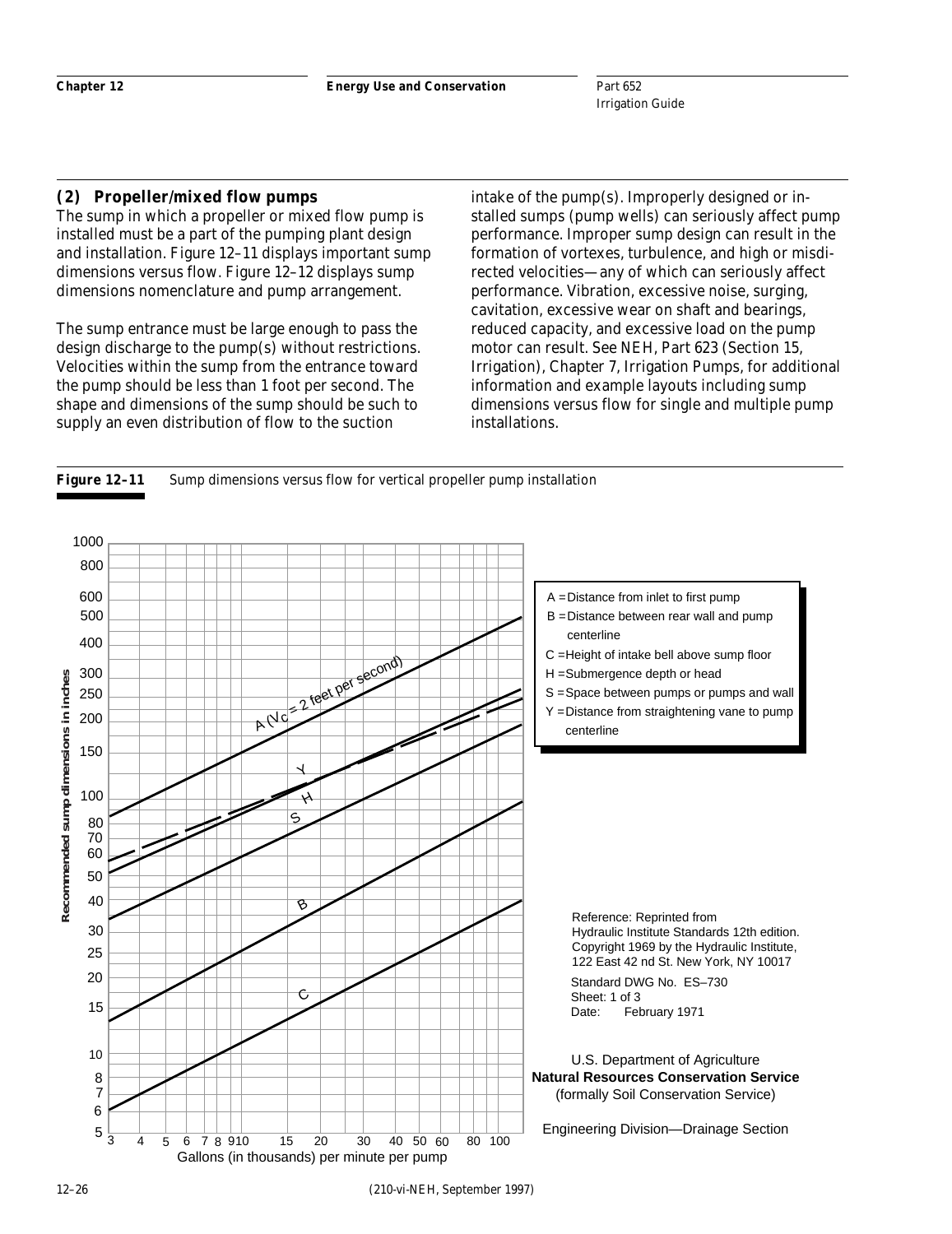## **(2) Propeller/mixed flow pumps**

The sump in which a propeller or mixed flow pump is installed must be a part of the pumping plant design and installation. Figure 12–11 displays important sump dimensions versus flow. Figure 12–12 displays sump dimensions nomenclature and pump arrangement.

The sump entrance must be large enough to pass the design discharge to the pump(s) without restrictions. Velocities within the sump from the entrance toward the pump should be less than 1 foot per second. The shape and dimensions of the sump should be such to supply an even distribution of flow to the suction

intake of the pump(s). Improperly designed or installed sumps (pump wells) can seriously affect pump performance. Improper sump design can result in the formation of vortexes, turbulence, and high or misdirected velocities—any of which can seriously affect performance. Vibration, excessive noise, surging, cavitation, excessive wear on shaft and bearings, reduced capacity, and excessive load on the pump motor can result. See NEH, Part 623 (Section 15, Irrigation), Chapter 7, Irrigation Pumps, for additional information and example layouts including sump dimensions versus flow for single and multiple pump installations.



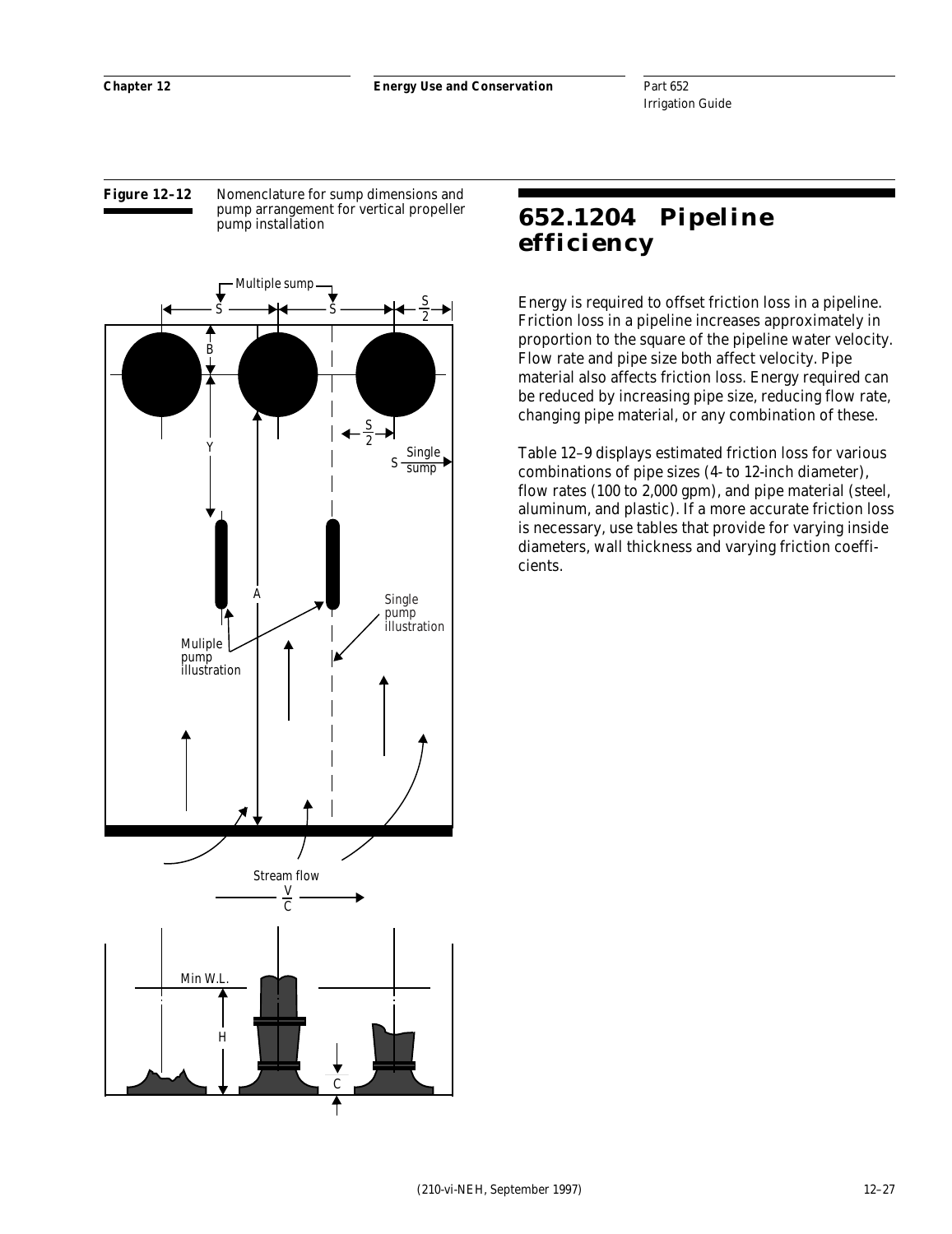#### **Figure 12–12** Nomenclature for sump dimensions and pump arrangement for vertical propeller pump installation



# **652.1204 Pipeline efficiency**

Energy is required to offset friction loss in a pipeline. Friction loss in a pipeline increases approximately in proportion to the square of the pipeline water velocity. Flow rate and pipe size both affect velocity. Pipe material also affects friction loss. Energy required can be reduced by increasing pipe size, reducing flow rate, changing pipe material, or any combination of these.

Table 12–9 displays estimated friction loss for various combinations of pipe sizes (4- to 12-inch diameter), flow rates (100 to 2,000 gpm), and pipe material (steel, aluminum, and plastic). If a more accurate friction loss is necessary, use tables that provide for varying inside diameters, wall thickness and varying friction coefficients.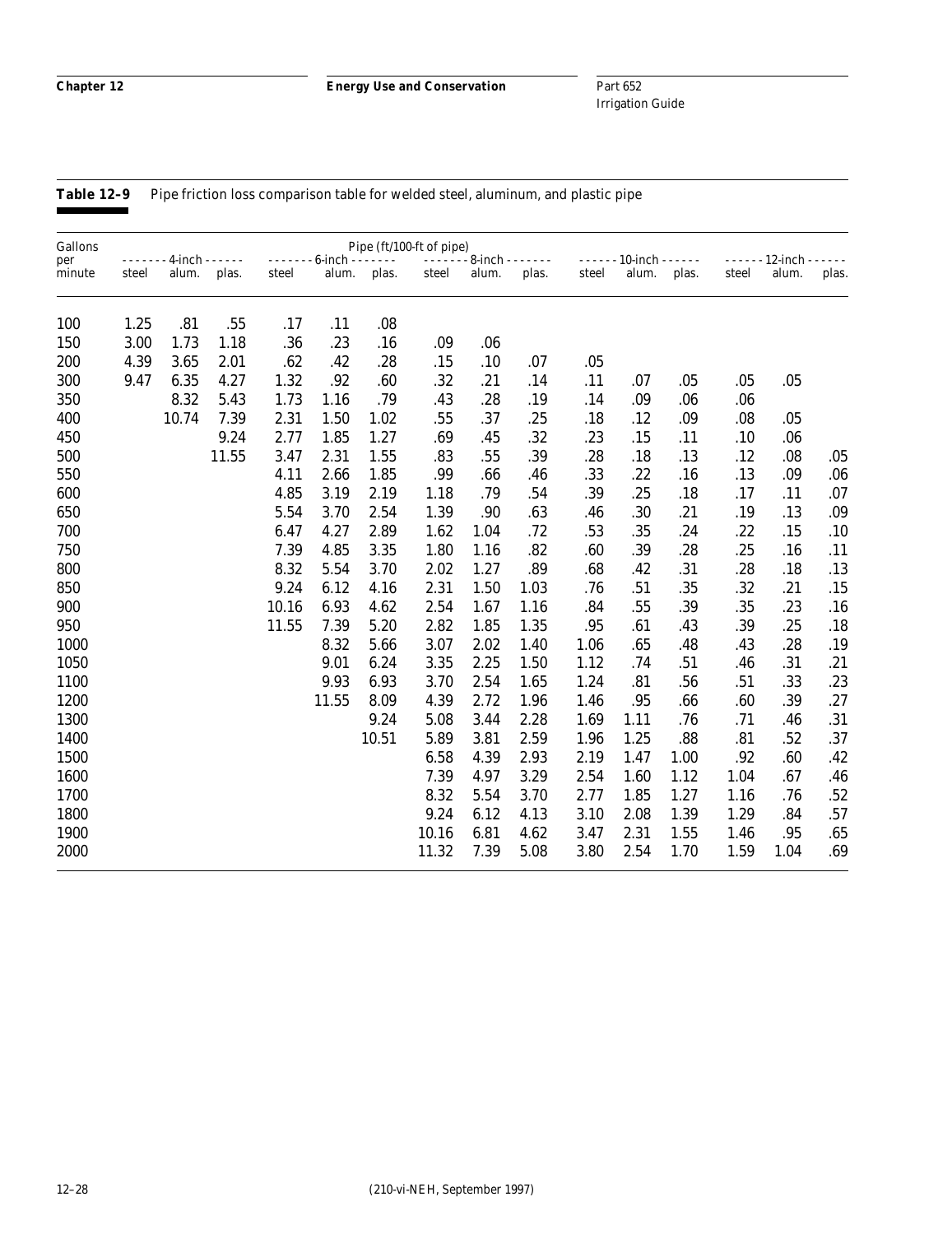Part 652 Irrigation Guide

Gallons Pipe (ft/100-ft of pipe) per - - - - - - - 4-inch - - - - - - - - - - - - - 6-inch - - - - - - - - - - - - - - 8-inch - - - - - - - - - - - - - 10-inch - - - - - - - - - - - - 12-inch - - - - - minute steel alum. plas. steel alum. plas. steel alum. plas. steel alum. plas. steel alum. plas. 100 1.25 .81 .55 .17 .11 .08 150 3.00 1.73 1.18 .36 .23 .16 .09 .06 200 4.39 3.65 2.01 .62 .42 .28 .15 .10 .07 .05 300 9.47 6.35 4.27 1.32 .92 .60 .32 .21 .14 .11 .07 .05 .05 .05 350 8.32 5.43 1.73 1.16 .79 .43 .28 .19 .14 .09 .06 .06 400 10.74 7.39 2.31 1.50 1.02 .55 .37 .25 .18 .12 .09 .08 .05 450 9.24 2.77 1.85 1.27 .69 .45 .32 .23 .15 .11 .10 .06 500 11.55 3.47 2.31 1.55 .83 .55 .39 .28 .18 .13 .12 .08 .05 550 4.11 2.66 1.85 .99 .66 .46 .33 .22 .16 .13 .09 .06 600 4.85 3.19 2.19 1.18 .79 .54 .39 .25 .18 .17 .11 .07 650 5.54 3.70 2.54 1.39 .90 .63 .46 .30 .21 .19 .13 .09 700 6.47 4.27 2.89 1.62 1.04 .72 .53 .35 .24 .22 .15 .10 750 7.39 4.85 3.35 1.80 1.16 .82 .60 .39 .28 .25 .16 .11 800 8.32 5.54 3.70 2.02 1.27 .89 .68 .42 .31 .28 .18 .13 850 9.24 6.12 4.16 2.31 1.50 1.03 .76 .51 .35 .32 .21 .15 900 10.16 6.93 4.62 2.54 1.67 1.16 .84 .55 .39 .35 .23 .16 950 11.55 7.39 5.20 2.82 1.85 1.35 .95 .61 .43 .39 .25 .18 1000 8.32 5.66 3.07 2.02 1.40 1.06 .65 .48 .43 .28 .19 1050 9.01 6.24 3.35 2.25 1.50 1.12 .74 .51 .46 .31 .21 1100 9.93 6.93 3.70 2.54 1.65 1.24 .81 .56 .51 .33 .23 1200 11.55 8.09 4.39 2.72 1.96 1.46 .95 .66 .60 .39 .27 1300 9.24 5.08 3.44 2.28 1.69 1.11 .76 .71 .46 .31 1400 10.51 5.89 3.81 2.59 1.96 1.25 .88 .81 .52 .37 1500 6.58 4.39 2.93 2.19 1.47 1.00 .92 .60 .42 1600 7.39 4.97 3.29 2.54 1.60 1.12 1.04 .67 .46 1700 8.32 5.54 3.70 2.77 1.85 1.27 1.16 .76 .52 1800 9.24 6.12 4.13 3.10 2.08 1.39 1.29 .84 .57 1900 10.16 6.81 4.62 3.47 2.31 1.55 1.46 .95 .65 2000 11.32 7.39 5.08 3.80 2.54 1.70 1.59 1.04 .69

Table 12-9 Pipe friction loss comparison table for welded steel, aluminum, and plastic pipe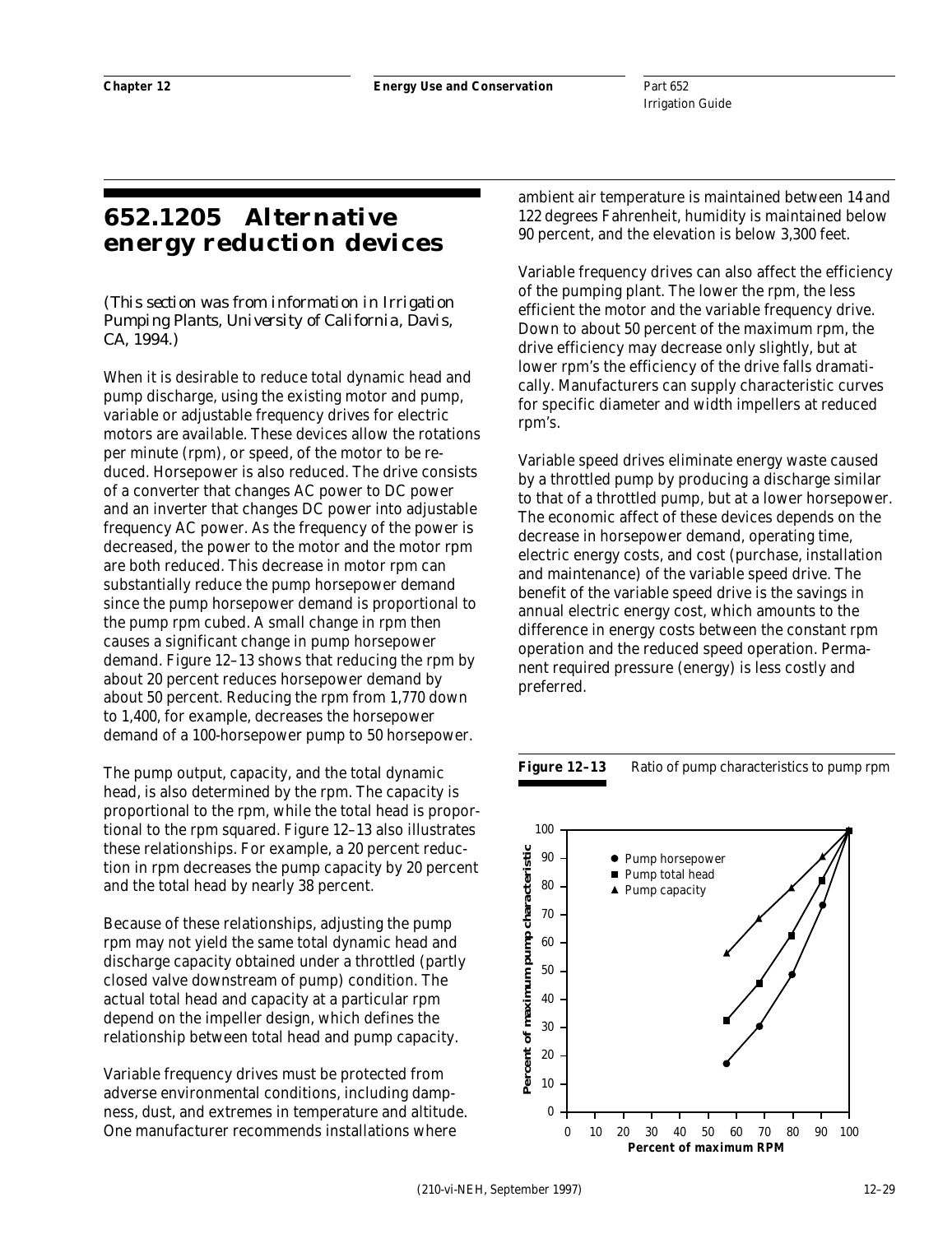# **652.1205 Alternative energy reduction devices**

*(This section was from information in Irrigation Pumping Plants, University of California, Davis, CA, 1994.)*

When it is desirable to reduce total dynamic head and pump discharge, using the existing motor and pump, variable or adjustable frequency drives for electric motors are available. These devices allow the rotations per minute (rpm), or speed, of the motor to be reduced. Horsepower is also reduced. The drive consists of a converter that changes AC power to DC power and an inverter that changes DC power into adjustable frequency AC power. As the frequency of the power is decreased, the power to the motor and the motor rpm are both reduced. This decrease in motor rpm can substantially reduce the pump horsepower demand since the pump horsepower demand is proportional to the pump rpm cubed. A small change in rpm then causes a significant change in pump horsepower demand. Figure 12–13 shows that reducing the rpm by about 20 percent reduces horsepower demand by about 50 percent. Reducing the rpm from 1,770 down to 1,400, for example, decreases the horsepower demand of a 100-horsepower pump to 50 horsepower.

The pump output, capacity, and the total dynamic head, is also determined by the rpm. The capacity is proportional to the rpm, while the total head is proportional to the rpm squared. Figure 12–13 also illustrates these relationships. For example, a 20 percent reduction in rpm decreases the pump capacity by 20 percent and the total head by nearly 38 percent.

Because of these relationships, adjusting the pump rpm may not yield the same total dynamic head and discharge capacity obtained under a throttled (partly closed valve downstream of pump) condition. The actual total head and capacity at a particular rpm depend on the impeller design, which defines the relationship between total head and pump capacity.

Variable frequency drives must be protected from adverse environmental conditions, including dampness, dust, and extremes in temperature and altitude. One manufacturer recommends installations where

ambient air temperature is maintained between 14 and 122 degrees Fahrenheit, humidity is maintained below 90 percent, and the elevation is below 3,300 feet.

Variable frequency drives can also affect the efficiency of the pumping plant. The lower the rpm, the less efficient the motor and the variable frequency drive. Down to about 50 percent of the maximum rpm, the drive efficiency may decrease only slightly, but at lower rpm's the efficiency of the drive falls dramatically. Manufacturers can supply characteristic curves for specific diameter and width impellers at reduced rpm's.

Variable speed drives eliminate energy waste caused by a throttled pump by producing a discharge similar to that of a throttled pump, but at a lower horsepower. The economic affect of these devices depends on the decrease in horsepower demand, operating time, electric energy costs, and cost (purchase, installation and maintenance) of the variable speed drive. The benefit of the variable speed drive is the savings in annual electric energy cost, which amounts to the difference in energy costs between the constant rpm operation and the reduced speed operation. Permanent required pressure (energy) is less costly and preferred.